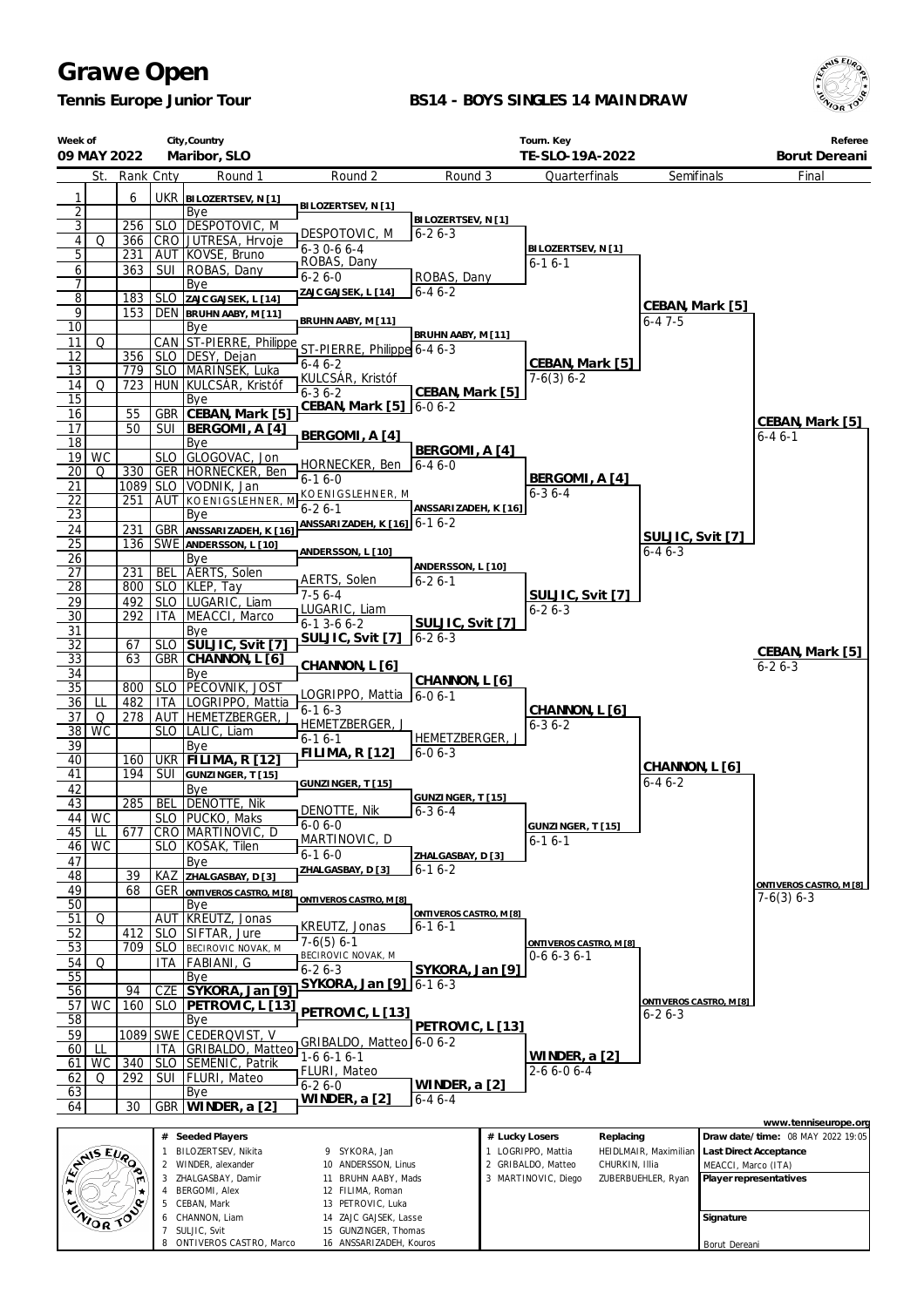*Tennis Europe Junior Tour*

6 CHANNON, Liam 7 SULJIC, Svit

8 ONTIVEROS CASTRO, Marco

14 ZAJC GAJSEK, Lasse 15 GUNZINGER, Thomas 16 ANSSARIZADEH, Kouros

#### **BS14 - BOYS SINGLES 14 MAINDRAW**



Borut Dereani

|                                    | City, Country<br>Week of<br>Maribor, SLO<br>09 MAY 2022 |            |            |                                                       |                                                     |                                  |                | Tourn. Key<br>TE-SLO-19A-2022                              |                         |                     | Referee<br>Borut Dereani          |
|------------------------------------|---------------------------------------------------------|------------|------------|-------------------------------------------------------|-----------------------------------------------------|----------------------------------|----------------|------------------------------------------------------------|-------------------------|---------------------|-----------------------------------|
|                                    | St.                                                     | Rank Cnty  |            | Round 1                                               | Round 2                                             | Round 3                          |                | Quarterfinals                                              | Semifinals              |                     | Final                             |
| 1                                  |                                                         | 6          |            | UKR BILOZERTSEV, N [1]                                |                                                     |                                  |                |                                                            |                         |                     |                                   |
| $\overline{2}$                     |                                                         |            |            | Bye                                                   | BILOZERTSEV, N [1]                                  |                                  |                |                                                            |                         |                     |                                   |
| $\overline{3}$                     |                                                         | 256        |            | SLO DESPOTOVIC, M                                     |                                                     | BILOZERTSEV, N [1]               |                |                                                            |                         |                     |                                   |
| $\sqrt{4}$                         | Q                                                       | 366        |            | CRO JUTRESA, Hrvoje                                   | DESPOTOVIC, M<br>$6-30-66-4$                        | $6 - 26 - 3$                     |                | BILOZERTSEV, N [1]                                         |                         |                     |                                   |
| $\overline{5}$                     |                                                         | 231        |            | AUT KOVSE, Bruno                                      | ROBAS, Dany                                         |                                  |                | $6 - 16 - 1$                                               |                         |                     |                                   |
| 6<br>$\overline{7}$                |                                                         | 363        |            | SUI   ROBAS, Dany<br>Bye                              | $6 - 26 - 0$                                        | ROBAS, Dany                      |                |                                                            |                         |                     |                                   |
| $\overline{8}$                     |                                                         | 183        |            | SLO ZAJC GAJSEK, L [14]                               | ZAJC GAJSEK, L [14]                                 | $6 - 46 - 2$                     |                |                                                            |                         |                     |                                   |
| 9                                  |                                                         | 153        |            | DEN BRUHN AABY, M [11]                                |                                                     |                                  |                |                                                            | CEBAN, Mark [5]         |                     |                                   |
| $\overline{10}$                    |                                                         |            |            | Bye                                                   | BRUHN AABY, M [11]                                  | BRUHN AABY, M [11]               |                |                                                            | $6 - 47 - 5$            |                     |                                   |
| 11                                 | Q                                                       |            |            |                                                       | CAN ST-PIERRE, Philippe ST-PIERRE, Philippe 6-4 6-3 |                                  |                |                                                            |                         |                     |                                   |
| 12<br>13                           |                                                         |            |            | 356   SLO   DESY, Dejan<br>779   SLO   MARINSEK, Luka | $6 - 46 - 2$                                        |                                  |                | CEBAN, Mark [5]                                            |                         |                     |                                   |
| 14                                 | Q                                                       | 723        |            | HUN KULCSÁR, Kristóf                                  | KULCSÁR, Kristóf                                    |                                  |                | $7-6(3)$ 6-2                                               |                         |                     |                                   |
| 15                                 |                                                         |            |            | Bye                                                   | $6 - 36 - 2$<br>CEBAN, Mark [5]   6-0 6-2           | CEBAN, Mark [5]                  |                |                                                            |                         |                     |                                   |
| 16                                 |                                                         | 55         |            | GBR CEBAN, Mark [5]                                   |                                                     |                                  |                |                                                            |                         |                     | CEBAN, Mark [5]                   |
| 17<br>18                           |                                                         | 50         |            | SUI   BERGOMI, A [4]<br>Bye                           | BERGOMI, A [4]                                      |                                  |                |                                                            |                         |                     | $6 - 46 - 1$                      |
| 19                                 | <b>WC</b>                                               |            |            | SLO GLOGOVAC, Jon                                     |                                                     | BERGOMI, A [4]                   |                |                                                            |                         |                     |                                   |
| 20                                 | Q                                                       | 330        |            | GER   HORNECKER, Ben                                  | HORNECKER, Ben<br>$6-16-0$                          | $6 - 46 - 0$                     |                | BERGOMI, A [4]                                             |                         |                     |                                   |
| <u>21</u>                          |                                                         |            |            | 1089   SLO   VODNIK, Jan                              | KOENIGSLEHNER, M                                    |                                  |                | $6 - 36 - 4$                                               |                         |                     |                                   |
| $\overline{22}$<br>$\overline{23}$ |                                                         | 251        |            | <b>AUT KOENIGSLEHNER, M</b><br>Bye                    | $6 - 26 - 1$                                        | ANSSARIZADEH, K [16]             |                |                                                            |                         |                     |                                   |
| 24                                 |                                                         | 231        |            | GBR ANSSARIZADEH, K [16]                              | ANSSARIZADEH, K [16] 6-1 6-2                        |                                  |                |                                                            |                         |                     |                                   |
| $\overline{25}$                    |                                                         | 136        |            | SWE ANDERSSON, L [10]                                 |                                                     |                                  |                |                                                            | SULJIC, Svit [7]        |                     |                                   |
| 26                                 |                                                         |            |            | Bye                                                   | ANDERSSON, L [10]                                   | ANDERSSON, L [10]                |                |                                                            | $6 - 46 - 3$            |                     |                                   |
| $\overline{27}$                    |                                                         | 231        | <b>BEL</b> | AERTS, Solen                                          | AERTS, Solen                                        | $6 - 26 - 1$                     |                |                                                            |                         |                     |                                   |
| $\overline{28}$<br>29              |                                                         | 492        |            | 800   SLO   KLEP, Tay<br>SLO LUGARIC, Liam            | $7-56-4$                                            |                                  |                | SULJIC, Svit [7]                                           |                         |                     |                                   |
| 30                                 |                                                         | 292        | ITA        | MEACCI, Marco                                         | LUGARIC, Liam                                       |                                  |                | $6 - 26 - 3$                                               |                         |                     |                                   |
| 31                                 |                                                         |            |            | Bye                                                   | $6 - 13 - 66 - 2$                                   | SULJIC, Svit [7]<br>$6 - 26 - 3$ |                |                                                            |                         |                     |                                   |
| $\overline{32}$                    |                                                         | 67         |            | SLO SULJIC, Svit [7]                                  | <b>SULJIC, Svit [7]</b>                             |                                  |                |                                                            |                         |                     | CEBAN, Mark [5]                   |
| 33                                 |                                                         | 63         |            | GBR CHANNON, L [6]<br>Bye                             | CHANNON, L [6]                                      |                                  |                |                                                            |                         |                     | $6 - 26 - 3$                      |
| 34<br>35                           |                                                         | 800        |            | SLO   PECOVNIK, JOST                                  |                                                     | CHANNON, L [6]                   |                |                                                            |                         |                     |                                   |
| 36                                 | LL                                                      | 482        |            | ITA LOGRIPPO, Mattia                                  | LOGRIPPO, Mattia 6-0 6-1<br>$6 - 16 - 3$            |                                  |                |                                                            |                         |                     |                                   |
| 37                                 | Q                                                       | 278        |            | AUT   HEMETZBERGER, J                                 | HEMETZBERGER, J                                     |                                  |                | CHANNON, L [6]<br>$6 - 36 - 2$                             |                         |                     |                                   |
| $\overline{38}$                    | <b>WC</b>                                               |            |            | SLO   LALIC, Liam                                     | $6 - 16 - 1$                                        | HEMETZBERGER, J                  |                |                                                            |                         |                     |                                   |
| 39<br>40                           |                                                         | 160        |            | Bye<br>UKR FILIMA, R [12]                             | <b>FILIMA, R [12]</b>                               | $6 - 06 - 3$                     |                |                                                            |                         |                     |                                   |
| 41                                 |                                                         | 194        | SUI        | GUNZINGER, T [15]                                     |                                                     |                                  |                |                                                            | CHANNON, L [6]          |                     |                                   |
| 42                                 |                                                         |            |            | Bye                                                   | GUNZINGER, T [15]                                   | GUNZINGER, T [15]                |                |                                                            | $6 - 46 - 2$            |                     |                                   |
| 43                                 |                                                         | 285        |            | BEL DENOTTE, Nik                                      | DENOTTE, Nik                                        | $6 - 36 - 4$                     |                |                                                            |                         |                     |                                   |
| 45                                 | 44 WC<br>LL                                             | 677        |            | SLO   PUCKO, Maks<br>CRO MARTINOVIC, D                | $6 - 06 - 0$                                        |                                  |                | GUNZINGER, T [15]                                          |                         |                     |                                   |
| 46                                 | <b>WC</b>                                               |            |            | SLO KOŠAK, Tilen                                      | MARTINOVIC, D                                       |                                  |                | $6 - 16 - 1$                                               |                         |                     |                                   |
| 47                                 |                                                         |            |            | Bye                                                   | $6-16-0$                                            | ZHALGASBAY, D [3]                |                |                                                            |                         |                     |                                   |
| 48                                 |                                                         | 39         | KAZ        | ZHALGASBAY, D [3]                                     | ZHALGASBAY, D [3]                                   | $6 - 16 - 2$                     |                |                                                            |                         |                     | ONTIVEROS CASTRO, M [8]           |
| 49<br>50                           |                                                         | 68         |            | <b>GER ONTIVEROS CASTRO, M [8]</b>                    | ONTIVEROS CASTRO, M [8]                             |                                  |                |                                                            |                         |                     | $7-6(3)$ 6-3                      |
| 51                                 | Q                                                       |            |            | Bye<br>AUT   KREUTZ, Jonas                            |                                                     | ONTIVEROS CASTRO, M [8]          |                |                                                            |                         |                     |                                   |
| 52                                 |                                                         | 412        |            | SLO SIFTAR, Jure                                      | KREUTZ, Jonas                                       | $6 - 16 - 1$                     |                |                                                            |                         |                     |                                   |
| 53                                 |                                                         | 709        | SLO        | BECIROVIC NOVAK, M                                    | $7-6(5)$ 6-1<br>BECIROVIC NOVAK, M                  |                                  |                | ONTIVEROS CASTRO, M [8]<br>$0-66-36-1$                     |                         |                     |                                   |
| 54                                 | Q                                                       |            | ITA        | <b>FABIANI, G</b>                                     | $6 - 26 - 3$                                        | SYKORA, Jan [9]                  |                |                                                            |                         |                     |                                   |
| 55<br>56                           |                                                         | 94         | CZE        | Bye<br>SYKORA, Jan [9]                                | SYKORA, Jan [9] 6-1 6-3                             |                                  |                |                                                            |                         |                     |                                   |
| 57                                 | WC                                                      | 160        |            | SLO   PETROVIC, L [13]                                |                                                     |                                  |                |                                                            | ONTIVEROS CASTRO. M [8] |                     |                                   |
| 58                                 |                                                         |            |            | Bye                                                   | PETROVIC, L [13]                                    |                                  |                |                                                            | $6 - 26 - 3$            |                     |                                   |
| 59                                 |                                                         | 1089       |            | SWE CEDERQVIST, V                                     | GRIBALDO, Matteo   6-0 6-2                          | PETROVIC, L [13]                 |                |                                                            |                         |                     |                                   |
| 60                                 | ш                                                       |            | ITA.       | GRIBALDO, Matteo                                      | $1-66-16-1$                                         |                                  |                | WINDER, a [2]                                              |                         |                     |                                   |
| 61<br>62                           | <b>WC</b><br>Q                                          | 340<br>292 | SUI        | SLO SEMENIC, Patrik<br><b>FLURI, Mateo</b>            | <b>FLURI, Mateo</b>                                 |                                  |                | 2-6 6-0 6-4                                                |                         |                     |                                   |
| 63                                 |                                                         |            |            | Bye                                                   | $6 - 26 - 0$                                        | WINDER, a [2]                    |                |                                                            |                         |                     |                                   |
| 64                                 |                                                         | 30         | <b>GBR</b> | WINDER, a [2]                                         | <b>WINDER, a [2]</b>                                | $6 - 46 - - 4$                   |                |                                                            |                         |                     |                                   |
|                                    |                                                         |            |            |                                                       |                                                     |                                  |                |                                                            |                         |                     | www.tenniseurope.org              |
|                                    |                                                         |            |            | # Seeded Players                                      |                                                     |                                  | # Lucky Losers | Replacing                                                  |                         |                     | Draw date/time: 08 MAY 2022 19:05 |
|                                    | AMIS EURO                                               |            | 1          | BILOZERTSEV, Nikita<br>2 WINDER, alexander            | 9 SYKORA, Jan<br>10 ANDERSSON, Linus                |                                  |                | 1 LOGRIPPO, Mattia<br>2 GRIBALDO, Matteo<br>CHURKIN, Illia | HEIDLMAIR, Maximilian   | MEACCI, Marco (ITA) | Last Direct Acceptance            |
|                                    |                                                         |            | 3          | ZHALGASBAY, Damir                                     | 11 BRUHN AABY, Mads                                 |                                  |                | 3 MARTINOVIC, Diego                                        | ZUBERBUEHLER, Ryan      |                     | Player representatives            |
|                                    |                                                         |            | 4          | <b>BERGOMI, Alex</b>                                  | 12 FILIMA, Roman                                    |                                  |                |                                                            |                         |                     |                                   |
|                                    | ZNOR TO                                                 |            | 6          | 5 CEBAN, Mark<br>CHANNON, Liam                        | 13 PETROVIC, Luka<br>14 ZAJC GAJSEK, Lasse          |                                  |                |                                                            |                         | Signature           |                                   |
|                                    |                                                         |            |            | 7 SHI HC Svit                                         | 15 GUNZINGER Thomas                                 |                                  |                |                                                            |                         |                     |                                   |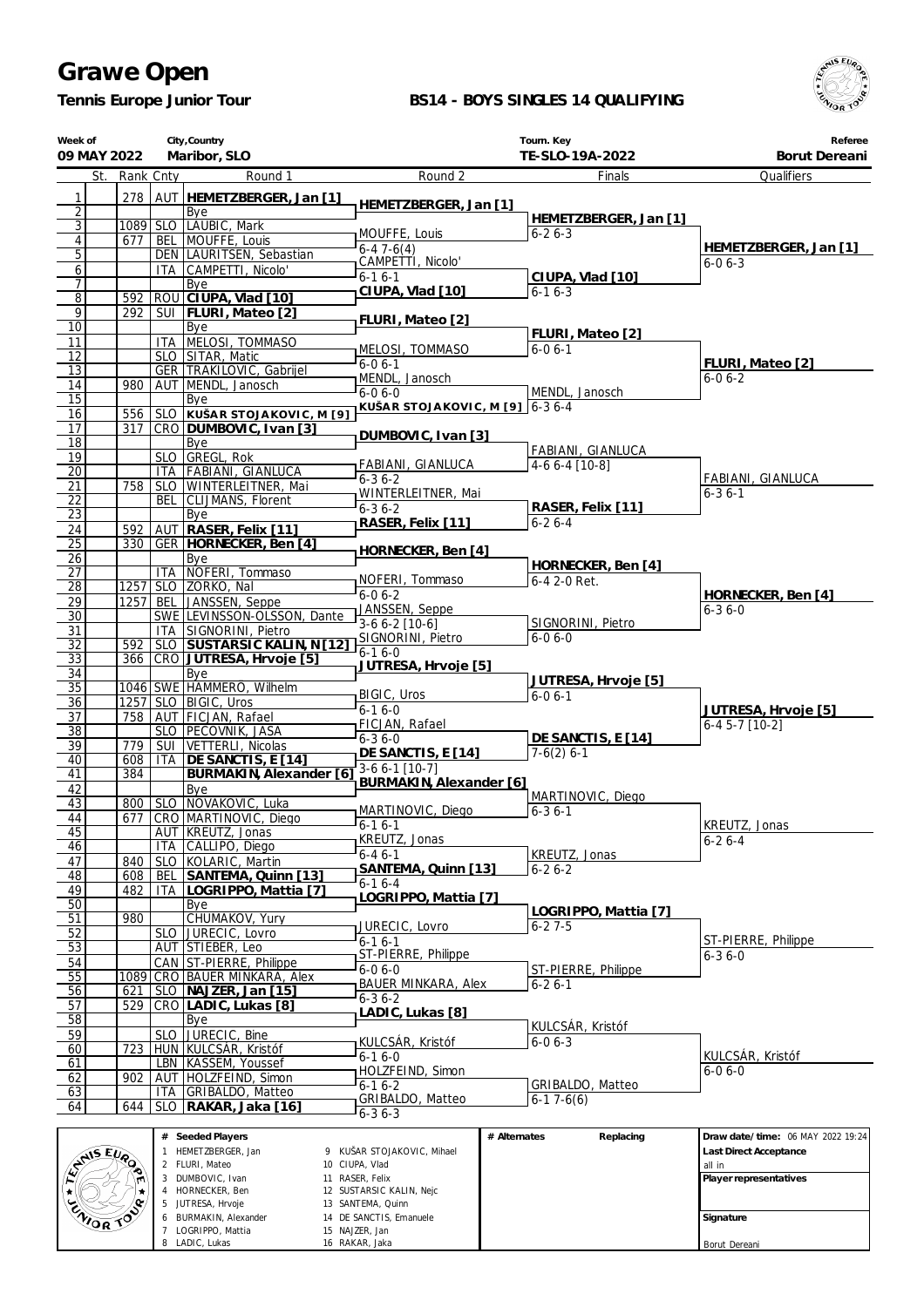*Tennis Europe Junior Tour*

 HORNECKER, Ben JUTRESA, Hrvoje BURMAKIN, Alexander LOGRIPPO, Mattia LADIC, Lukas

 SUSTARSIC KALIN, Nejc SANTEMA, Quinn DE SANCTIS, Emanuele NAJZER, Jan RAKAR, Jaka

#### **BS14 - BOYS SINGLES 14 QUALIFYING**



**Signature** Borut Dereani

| Week of<br>09 MAY 2022             |               |                   | City, Country<br>Maribor, SLO                          |                                               | Tourn. Key<br>TE-SLO-19A-2022     | Referee<br>Borut Dereani                                    |
|------------------------------------|---------------|-------------------|--------------------------------------------------------|-----------------------------------------------|-----------------------------------|-------------------------------------------------------------|
|                                    | St. Rank Cnty |                   | Round 1                                                | Round 2                                       | Finals                            | Qualifiers                                                  |
| 1                                  | 278           | AUT               | HEMETZBERGER, Jan [1]                                  |                                               |                                   |                                                             |
| $\overline{2}$                     |               |                   | Bye                                                    | HEMETZBERGER, Jan [1]                         | HEMETZBERGER, Jan [1]             |                                                             |
| $\overline{3}$                     | 1089 SLO      |                   | LAUBIC, Mark                                           | MOUFFE, Louis                                 | $6 - 26 - 3$                      |                                                             |
| $\overline{4}$<br>$\overline{5}$   | 677           |                   | BEL MOUFFE, Louis<br>DEN LAURITSEN, Sebastian          | $6 - 47 - 6(4)$                               |                                   | HEMETZBERGER, Jan [1]                                       |
| $\mathbf{6}$                       |               | ITA.              | CAMPETTI, Nicolo'                                      | CAMPETTI, Nicolo'                             |                                   | $6 - 06 - 3$                                                |
| 7                                  |               |                   | Bye                                                    | $6 - 16 - 1$<br>CIUPA, Vlad [10]              | CIUPA, Vlad [10]<br>$6 - 16 - 3$  |                                                             |
| $\overline{8}$                     | 592           |                   | ROU CIUPA, Vlad [10]                                   |                                               |                                   |                                                             |
| 9<br>$\overline{10}$               | 292           |                   | SUI   FLURI, Mateo [2]<br>Bye                          | FLURI, Mateo [2]                              |                                   |                                                             |
| 11                                 |               | <b>ITA</b>        | MELOSI, TOMMASO                                        |                                               | FLURI, Mateo [2]                  |                                                             |
| 12                                 |               | <b>SLO</b>        | SITAR, Matic                                           | MELOSI, TOMMASO<br>$6 - 06 - 1$               | $6 - 06 - 1$                      | FLURI, Mateo [2]                                            |
| 13                                 |               |                   | GER   TRAKILOVIC, Gabrijel                             | MENDL, Janosch                                |                                   | $6 - 06 - 2$                                                |
| 14<br>$\overline{15}$              | 980           |                   | AUT MENDL, Janosch<br>Bye                              | $6-06-0$                                      | MENDL, Janosch                    |                                                             |
| 16                                 | 556           | <b>SLO</b>        | KUŠAR STOJAKOVIC, M [9]                                | KUŠAR STOJAKOVIC, M [9]                       | $6-36-4$                          |                                                             |
| $\overline{17}$                    | 317           |                   | CRO DUMBOVIC, Ivan [3]                                 | DUMBOVIC, Ivan [3]                            |                                   |                                                             |
| $\overline{18}$                    |               |                   | Bye                                                    |                                               | <b>FABIANI, GIANLUCA</b>          |                                                             |
| 19<br>$\overline{20}$              |               | <b>SLO</b><br>ITA | GREGL, Rok<br><b>FABIANI, GIANLUCA</b>                 | FABIANI, GIANLUCA                             | 4-6 6-4 [10-8]                    |                                                             |
| 21                                 | 758           | <b>SLO</b>        | WINTERLEITNER, Mai                                     | $6 - 36 - 2$                                  |                                   | FABIANI, GIANLUCA                                           |
| 22                                 |               | <b>BEL</b>        | CLIJMANS, Florent                                      | WINTERLEITNER, Mai<br>$6 - 36 - 2$            | RASER, Felix [11]                 | $6 - 36 - 1$                                                |
| 23                                 |               |                   | Bye                                                    | RASER, Felix [11]                             | $6 - 26 - 4$                      |                                                             |
| 24<br>$\overline{25}$              | 592<br>330    | AUT               | RASER, Felix [11]<br>GER   HORNECKER, Ben [4]          |                                               |                                   |                                                             |
| 26                                 |               |                   | Bye                                                    | HORNECKER, Ben [4]                            |                                   |                                                             |
| $\overline{27}$                    |               | <b>ITA</b>        | NOFERI, Tommaso                                        |                                               | HORNECKER, Ben [4]                |                                                             |
| $\overline{28}$                    | 1257          |                   | SLO ZORKO, Nal                                         | NOFERI, Tommaso<br>$6 - 06 - 2$               | 6-4 2-0 Ret.                      | HORNECKER, Ben [4]                                          |
| 29<br>$\overline{30}$              | 1257          | <b>BEL</b>        | JANSSEN, Seppe                                         | JANSSEN, Seppe                                |                                   | $6 - 36 - 0$                                                |
| 31                                 |               | <b>ITA</b>        | SWE LEVINSSON-OLSSON, Dante<br>SIGNORINI, Pietro       | $3-66-2$ [10-6]                               | SIGNORINI, Pietro                 |                                                             |
| 32                                 | 592           | <b>SLO</b>        | SUSTARSIC KALIN, N[12]                                 | SIGNORINI, Pietro                             | $6 - 06 - 0$                      |                                                             |
| $\overline{33}$                    | 366           |                   | CRO JUTRESA, Hrvoje [5]                                | $6-16-0$<br>JUTRESA, Hrvoje [5]               |                                   |                                                             |
| 34                                 |               |                   | Bye                                                    |                                               | JUTRESA, Hrvoje [5]               |                                                             |
| $\overline{35}$<br>$\overline{36}$ | $1257$ SLO    |                   | 1046 SWE HAMMERO, Wilhelm<br>BIGIC, Uros               | BIGIC, Uros                                   | $6 - 06 - 1$                      |                                                             |
| 37                                 | 758           | <b>AUT</b>        | FICJAN, Rafael                                         | $6 - 16 - 0$                                  |                                   | JUTRESA, Hrvoje [5]                                         |
| $\overline{38}$                    |               | <b>SLO</b>        | PECOVNIK, JASA                                         | FICJAN, Rafael<br>$6 - 36 - 0$                | DE SANCTIS, E [14]                | $6-4$ 5-7 [10-2]                                            |
| 39                                 | 779           | <b>SUI</b>        | VETTERLI, Nicolas                                      | DE SANCTIS, E [14]                            | $7-6(2)$ 6-1                      |                                                             |
| 40<br>41                           | 608<br>384    | <b>ITA</b>        | DE SANCTIS, E [14]<br><b>BURMAKIN, Alexander [6]</b>   | 3-6 6-1 [10-7]                                |                                   |                                                             |
| 42                                 |               |                   | Bye                                                    | BURMAKIN, Alexander [6]                       |                                   |                                                             |
| 43                                 | 800           |                   | SLO NOVAKOVIC, Luka                                    | MARTINOVIC, Diego                             | MARTINOVIC, Diego<br>$6 - 36 - 1$ |                                                             |
| 44                                 |               |                   | 677   CRO   MARTINOVIC, Diego                          | $6 - 16 - 1$                                  |                                   | KREUTZ, Jonas                                               |
| 45<br>46                           |               | ITA               | AUT KREUTZ, Jonas<br>CALLIPO, Diego                    | KREUTZ, Jonas                                 |                                   | $6 - 26 - 4$                                                |
| 47                                 | 840           | <b>SLO</b>        | KOLARIC, Martin                                        | $6 - 46 - 1$                                  | KREUTZ, Jonas                     |                                                             |
| 48                                 | 608           | BEL               | SANTEMA, Quinn [13]                                    | SANTEMA, Quinn [13]<br>$6 - 16 - 4$           | $6 - 26 - 2$                      |                                                             |
| 49                                 | 482           | ITA               | LOGRIPPO, Mattia [7]                                   | LOGRIPPO, Mattia [7]                          |                                   |                                                             |
| $\overline{50}$<br>51              | 980           |                   | Bye<br>CHUMAKOV, Yury                                  |                                               | LOGRIPPO, Mattia [7]              |                                                             |
| $\overline{52}$                    |               | <b>SLO</b>        | JURECIC, Lovro                                         | JURECIC, Lovro                                | $6 - 27 - 5$                      |                                                             |
| 53                                 |               |                   | AUT STIEBER, Leo                                       | $6 - 16 - 1$<br>ST-PIERRE, Philippe           |                                   | ST-PIERRE, Philippe<br>$6 - 36 - 0$                         |
| 54                                 |               |                   | CAN ST-PIERRE, Philippe                                | 6-0 6-0                                       | ST-PIERRE, Philippe               |                                                             |
| 55<br>56                           | 621           |                   | 1089 CRO BAUER MINKARA, Alex<br>SLO   NAJZER, Jan [15] | <b>BAUER MINKARA, Alex</b>                    | $6 - 26 - 1$                      |                                                             |
| 57                                 | 529           |                   | CRO   LADIC, Lukas [8]                                 | $6 - 36 - 2$                                  |                                   |                                                             |
| 58                                 |               |                   | Bye                                                    | LADIC, Lukas [8]                              | KULCSÁR, Kristóf                  |                                                             |
| 59                                 |               | <b>SLO</b>        | JURECIC, Bine                                          | KULCSAR, Kristóf                              | $6 - 06 - 3$                      |                                                             |
| 60<br>61                           | 723           | LBN               | HUN KULCSÁR, Kristóf<br>KASSEM, Youssef                | $6 - 16 - 0$                                  |                                   | KULCSÁR, Kristóf                                            |
| 62                                 | 902           |                   | AUT   HOLZFEIND, Simon                                 | HOLZFEIND, Simon                              |                                   | $6 - 06 - 0$                                                |
| 63                                 |               | ITA               | GRIBALDO, Matteo                                       | $6 - 16 - 2$                                  | GRIBALDO, Matteo                  |                                                             |
| 64                                 | 644           | <b>SLO</b>        | RAKAR, Jaka [16]                                       | GRIBALDO, Matteo<br>6-36-3                    | $6-17-6(6)$                       |                                                             |
|                                    |               |                   |                                                        |                                               |                                   |                                                             |
| <b>LANSEURO</b>                    |               |                   | # Seeded Players<br>1 HEMETZBERGER, Jan                | 9 KUŠAR STOJAKOVIC, Mihael                    | # Alternates<br>Replacing         | Draw date/time: 06 MAY 2022 19:24<br>Last Direct Acceptance |
|                                    |               |                   | 2 FLURI, Mateo                                         | 10 CIUPA, Vlad                                |                                   | all in                                                      |
|                                    |               |                   | 3 DUMBOVIC, Ivan                                       | 11 RASER, Felix                               |                                   | Player representatives                                      |
| $\star$                            |               |                   | 4 HORNECKER, Ben<br>5 JUTRESA, Hrvoje                  | 12 SUSTARSIC KALIN, Nejc<br>13 SANTEMA, Quinn |                                   |                                                             |
| <b>ENIOR TO</b>                    |               |                   | 6 BURMAKIN, Alexander                                  | 14 DE SANCTIS, Emanuele                       |                                   | Signature                                                   |
|                                    |               |                   | 7 LOGRIPPO, Mattia                                     | 15 NAJZER, Jan                                |                                   |                                                             |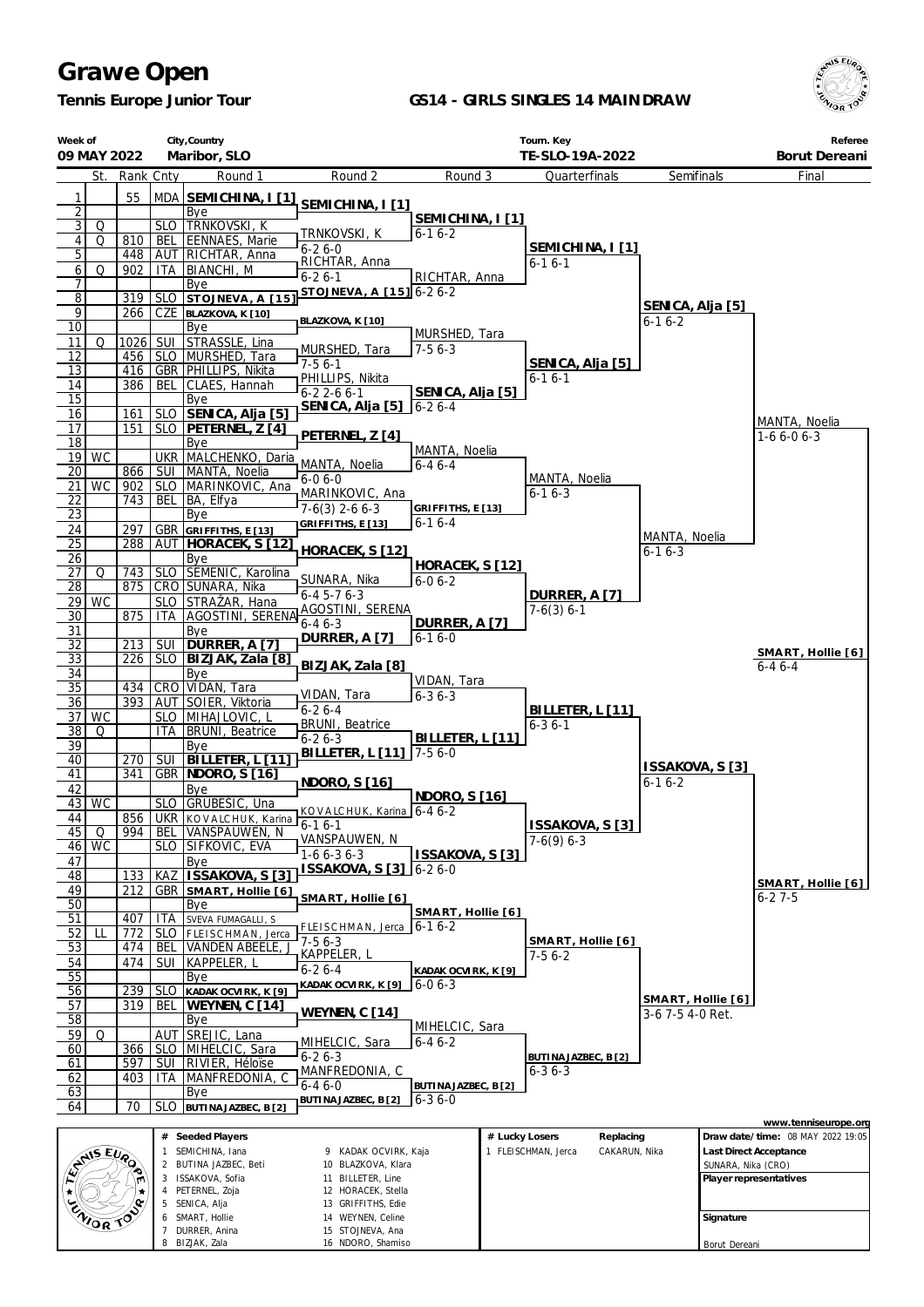*Tennis Europe Junior Tour*

 $\mathsf{l}$ 

#### **GS14 - GIRLS SINGLES 14 MAINDRAW**



| Week of                           | 09 MAY 2022 |            |                          | City, Country<br>Maribor, SLO                 |                                            |                                     |                | Tourn. Key<br>TE-SLO-19A-2022        |                                 |                    | Referee<br>Borut Dereani          |
|-----------------------------------|-------------|------------|--------------------------|-----------------------------------------------|--------------------------------------------|-------------------------------------|----------------|--------------------------------------|---------------------------------|--------------------|-----------------------------------|
|                                   | St.         | Rank Cnty  |                          | Round 1                                       | Round 2                                    | Round 3                             |                | Quarterfinals                        | Semifinals                      |                    | Final                             |
| 1                                 |             | 55         |                          | MDA SEMICHINA, I [1]                          |                                            |                                     |                |                                      |                                 |                    |                                   |
| $\overline{2}$                    |             |            |                          | Bye                                           | SEMICHINA, I [1]                           | SEMICHINA, I [1]                    |                |                                      |                                 |                    |                                   |
| $\overline{3}$                    | Q           |            |                          | SLO TRNKOVSKI, K                              | TRNKOVSKI, K                               | $6 - 16 - 2$                        |                |                                      |                                 |                    |                                   |
| $\vert$<br>5                      | Q           | 810<br>448 | <b>BEL</b>               | EENNAES, Marie<br>AUT RICHTAR, Anna           | $6 - 26 - 0$                               |                                     |                | SEMICHINA, I [1]                     |                                 |                    |                                   |
| $6 \mid$                          | Q           | 902        | ITA                      | <b>BIANCHI, M</b>                             | RICHTAR, Anna                              |                                     |                | $6 - 16 - 1$                         |                                 |                    |                                   |
| 7                                 |             |            |                          | Bye                                           | $6 - 26 - 1$<br>STOJNEVA, A [15] 6-2 6-2   | RICHTAR, Anna                       |                |                                      |                                 |                    |                                   |
| $\overline{8}$                    |             | 319        |                          | SLO STOJNEVA, A [15]                          |                                            |                                     |                |                                      | SENICA, Alja [5]                |                    |                                   |
| $\overline{9}$<br>$\overline{10}$ |             | 266        |                          | CZE BLAZKOVA, K [10]<br>Bye                   | BLAZKOVA, K [10]                           |                                     |                |                                      | $6 - 16 - 2$                    |                    |                                   |
| 11                                | Q           | 1026       |                          | SUI STRASSLE, Lina                            |                                            | MURSHED, Tara<br>$7-56-3$           |                |                                      |                                 |                    |                                   |
| 12                                |             | 456        |                          | SLO MURSHED, Tara                             | MURSHED, Tara<br>$7-56-1$                  |                                     |                | SENICA, Alja [5]                     |                                 |                    |                                   |
| 13<br>14                          |             | 386        | BEL                      | 416   GBR   PHILLIPS, Nikita<br>CLAES, Hannah | PHILLIPS, Nikita                           |                                     |                | $6 - 16 - 1$                         |                                 |                    |                                   |
| 15                                |             |            |                          | Bye                                           | $6 - 22 - 66 - 1$                          | SENICA, Alja [5]                    |                |                                      |                                 |                    |                                   |
| 16                                |             | 161        |                          | SLO SENICA, Alja [5]                          | SENICA, Alja [5]                           | $6 - 26 - 4$                        |                |                                      |                                 |                    |                                   |
| 17                                |             | 151        |                          | SLO   PETERNEL, Z [4]                         | PETERNEL, Z [4]                            |                                     |                |                                      |                                 |                    | MANTA, Noelia<br>$1-66-06-3$      |
| 18                                | $19$ WC     |            |                          | Bye<br>UKR   MALCHENKO, Daria                 |                                            | MANTA, Noelia                       |                |                                      |                                 |                    |                                   |
| $\overline{20}$                   |             | 866        |                          | SUI   MANTA, Noelia                           | MANTA, Noelia                              | $6 - 46 - 4$                        |                |                                      |                                 |                    |                                   |
| 21                                | WC          | 902        |                          | SLO   MARINKOVIC, Ana                         | $6 - 06 - 0$<br>MARINKOVIC, Ana            |                                     |                | MANTA, Noelia<br>$6 - 16 - 3$        |                                 |                    |                                   |
| 22                                |             | 743        | <b>BEL</b>               | BA, Elfya                                     | $7-6(3)$ 2-6 6-3                           | GRIFFITHS, E [13]                   |                |                                      |                                 |                    |                                   |
| $\overline{23}$<br>24             |             | 297        |                          | Bye<br>GBR GRIFFITHS, E [13]                  | GRIFFITHS, E [13]                          | $6 - 16 - 4$                        |                |                                      |                                 |                    |                                   |
| $\overline{25}$                   |             | 288        |                          | AUT   HORACEK, S [12]                         |                                            |                                     |                |                                      | MANTA, Noelia                   |                    |                                   |
| 26                                |             |            |                          | Bye                                           | HORACEK, S [12]                            |                                     |                |                                      | $6 - 16 - 3$                    |                    |                                   |
| 27                                | Q           |            |                          | 743   SLO   SEMENIC, Karolina                 | SUNARA, Nika                               | HORACEK, S [12]<br>$6 - 06 - 2$     |                |                                      |                                 |                    |                                   |
| 28<br>29                          | WC          | 875        |                          | CRO SUNARA, Nika<br>SLO STRAŽAR, Hana         | $6 - 45 - 76 - 3$                          |                                     |                | DURRER, A [7]                        |                                 |                    |                                   |
| $\overline{30}$                   |             | 875        |                          | ITA   AGOSTINI, SERENA                        | AGOSTINI, SERENA                           |                                     |                | $7-6(3) 6-1$                         |                                 |                    |                                   |
| 31                                |             |            |                          | Bye                                           | $6 - 46 - 3$<br>DURRER, A [7]              | DURRER, A [7]<br>$6 - 16 - 0$       |                |                                      |                                 |                    |                                   |
| $\overline{32}$                   |             | 213        | <b>SUI</b>               | DURRER, A [7]                                 |                                            |                                     |                |                                      |                                 |                    | SMART, Hollie [6]                 |
| $\overline{33}$<br>34             |             | 226        |                          | SLO   BIZJAK, Zala [8]<br>Bye                 | BIZJAK, Zala [8]                           |                                     |                |                                      |                                 |                    | $6 - 46 - 4$                      |
| $\overline{35}$                   |             |            |                          | 434 CRO VIDAN, Tara                           |                                            | VIDAN, Tara                         |                |                                      |                                 |                    |                                   |
| 36                                |             |            |                          | 393   AUT   SOIER, Viktoria                   | VIDAN, Tara<br>$6 - 26 - 4$                | $6 - 36 - 3$                        |                | BILLETER, L [11]                     |                                 |                    |                                   |
| 37                                | WC          |            |                          | SLO   MIHAJLOVIC, L<br>ITA   BRUNI, Beatrice  | <b>BRUNI</b> , Beatrice                    |                                     |                | $6 - 36 - 1$                         |                                 |                    |                                   |
| $\overline{38}$<br>39             | Q           |            |                          | Bye                                           | $6 - 26 - 3$                               | BILLETER, L [11]                    |                |                                      |                                 |                    |                                   |
| 40                                |             | 270        |                          | SUI   BILLETER, L [11]                        | BILLETER, L [11]                           | $7-56-0$                            |                |                                      |                                 |                    |                                   |
| 41                                |             | 341        |                          | <b>GBR   NDORO, S [16]</b>                    | NDORO, S [16]                              |                                     |                |                                      | ISSAKOVA, S [3]<br>$6 - 16 - 2$ |                    |                                   |
| 42                                | 43 WC       |            |                          | Bye<br>SLO GRUBEŠIC, Una                      |                                            | NDORO, S [16]                       |                |                                      |                                 |                    |                                   |
| 44                                |             |            |                          | 856 UKR KOVALCHUK, Karina                     | KOVALCHUK, Karina 6--46-2                  |                                     |                |                                      |                                 |                    |                                   |
| 45                                | Q           | 994        |                          | BEL VANSPAUWEN, N                             | $\sqrt{6-1}$ 6-1<br>VANSPAUWEN, N          |                                     |                | ISSAKOVA, S [3]<br>$7-6(9)$ 6-3      |                                 |                    |                                   |
|                                   | $46$ WC     |            |                          | SLO SIFKOVIC, EVA                             | $1-66-36-3$                                | ISSAKOVA, S [3]                     |                |                                      |                                 |                    |                                   |
| 47<br>48                          |             | 133        |                          | Bye<br>KAZ ISSAKOVA, S [3]                    | ISSAKOVA, S [3] 6-2 6-0                    |                                     |                |                                      |                                 |                    |                                   |
| 49                                |             | 212        |                          | GBR SMART, Hollie [6]                         |                                            |                                     |                |                                      |                                 |                    | SMART, Hollie [6]                 |
| 50                                |             |            |                          | Bye                                           | SMART, Hollie [6]                          | SMART, Hollie [6]                   |                |                                      |                                 |                    | $6 - 27 - 5$                      |
| 51                                |             | 407        | ITA                      | SVEVA FUMAGALLI, S                            | FLEISCHMAN, Jerca                          | $6-16-2$                            |                |                                      |                                 |                    |                                   |
| 52<br>53                          | Ш           | 772<br>474 | <b>SLO</b><br><b>BEL</b> | FLEISCHMAN, Jerca<br><b>VANDEN ABEELE,</b>    | $7-56-3$                                   |                                     |                | SMART, Hollie [6]                    |                                 |                    |                                   |
| 54                                |             | 474        | SUI                      | KAPPELER, L                                   | KAPPELER, L                                |                                     |                | $7-56-2$                             |                                 |                    |                                   |
| 55                                |             |            |                          | Bye                                           | $6 - 26 - 4$<br>KADAK OCVIRK, K [9]        | KADAK OCVIRK, K [9]<br>$6 - 06 - 3$ |                |                                      |                                 |                    |                                   |
| 56                                |             | 239        |                          | SLO KADAK OCVIRK, K [9]                       |                                            |                                     |                |                                      | SMART, Hollie [6]               |                    |                                   |
| 57<br>58                          |             | 319        | BEL                      | WEYNEN, C [14]<br>Bye                         | WEYNEN, C [14]                             |                                     |                |                                      | 3-6 7-5 4-0 Ret.                |                    |                                   |
| 59                                | Q           |            |                          | AUT SREJIC, Lana                              |                                            | MIHELCIC, Sara                      |                |                                      |                                 |                    |                                   |
| 60                                |             | 366        |                          | SLO   MIHELCIC, Sara                          | MIHELCIC, Sara<br>$6 - 26 - 3$             | $6 - 46 - 2$                        |                | BUTINA JAZBEC, B [2]                 |                                 |                    |                                   |
| 61                                |             | 597        |                          | SUI RIVIER, Héloïse                           | MANFREDONIA, C                             |                                     |                | $6 - 36 - 3$                         |                                 |                    |                                   |
| 62<br>63                          |             | 403        | <b>ITA</b>               | MANFREDONIA, C<br>Bye                         | $6 - 46 - 0$                               | BUTINA JAZBEC, B [2]                |                |                                      |                                 |                    |                                   |
| 64                                |             | 70         | SLO                      | BUTINA JAZBEC, B [2]                          | BUTINA JAZBEC, B [2]                       | $6 - 36 - 0$                        |                |                                      |                                 |                    |                                   |
|                                   |             |            |                          |                                               |                                            |                                     |                |                                      |                                 |                    | www.tenniseurope.org              |
|                                   |             |            |                          | # Seeded Players                              |                                            |                                     | # Lucky Losers | Replacing                            |                                 |                    | Draw date/time: 08 MAY 2022 19:05 |
|                                   | ANS EURO    |            | 1<br>2                   | SEMICHINA, Iana<br>BUTINA JAZBEC, Beti        | 9 KADAK OCVIRK, Kaja<br>10 BLAZKOVA, Klara |                                     |                | 1 FLEISCHMAN, Jerca<br>CAKARUN, Nika |                                 | SUNARA, Nika (CRO) | Last Direct Acceptance            |
|                                   |             |            |                          | 3 ISSAKOVA, Sofia                             | 11 BILLETER, Line                          |                                     |                |                                      |                                 |                    | Player representatives            |
| ENIOR TOP                         |             |            |                          | 4 PETERNEL, Zoja<br>5 SENICA, Alja            | 12 HORACEK, Stella<br>13 GRIFFITHS, Edie   |                                     |                |                                      |                                 |                    |                                   |
|                                   |             |            |                          | SMART, Hollie                                 | 14 WEYNEN, Celine                          |                                     |                |                                      |                                 | Signature          |                                   |
|                                   |             |            |                          | 7 DURRER, Anina                               | 15 STOJNEVA, Ana                           |                                     |                |                                      |                                 |                    |                                   |
|                                   |             |            |                          | 8 BIZJAK, Zala                                | 16 NDORO, Shamiso                          |                                     |                |                                      |                                 | Borut Dereani      |                                   |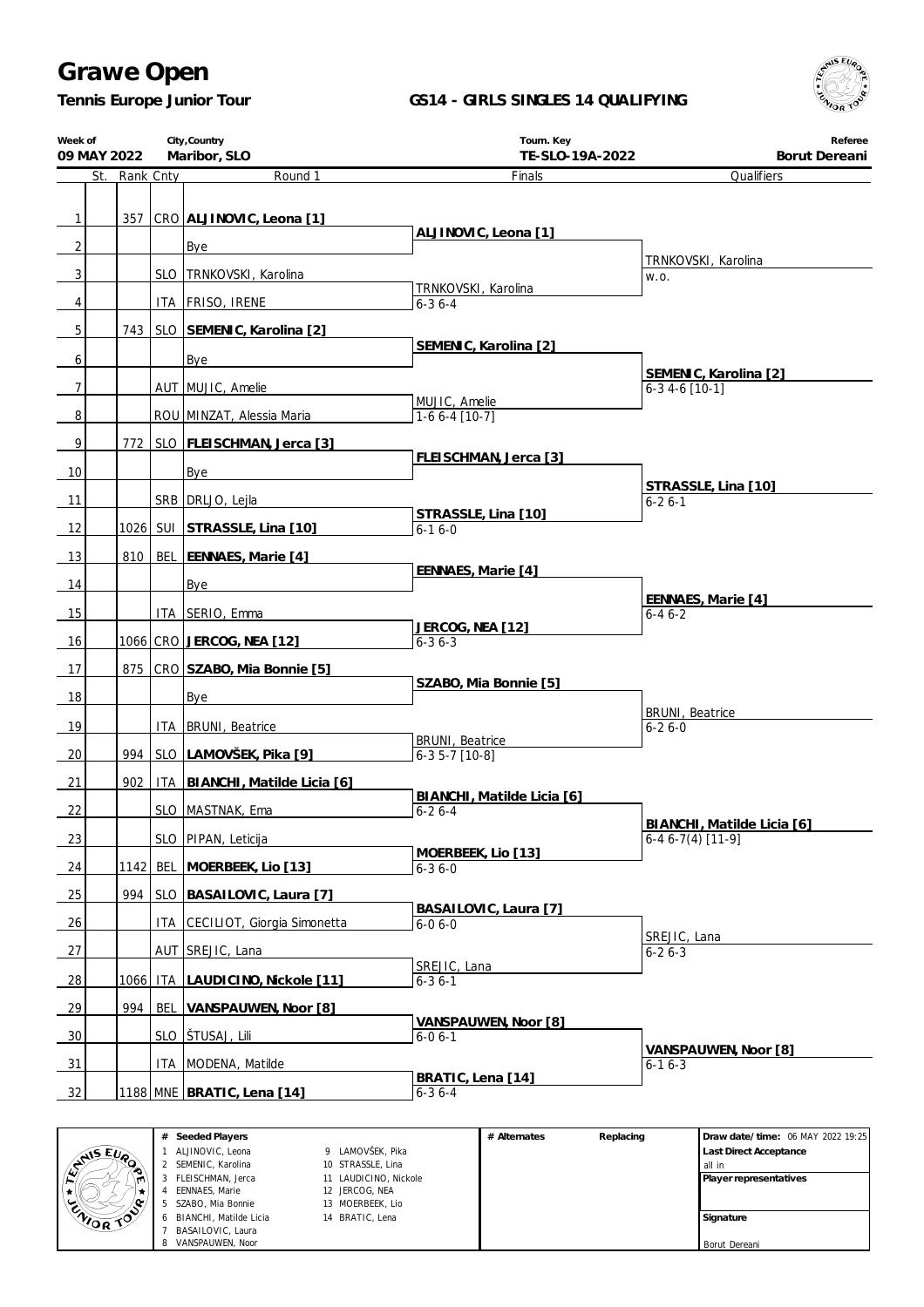*Tennis Europe Junior Tour*

### **GS14 - GIRLS SINGLES 14 QUALIFYING**



| Week of<br>09 MAY 2022 | City, Country<br>Maribor, SLO |  |                                    | Tourn. Key<br>TE-SLO-19A-2022        | Referee<br>Borut Dereani                         |
|------------------------|-------------------------------|--|------------------------------------|--------------------------------------|--------------------------------------------------|
|                        | St. Rank Cnty                 |  | Round 1                            | Finals                               | Qualifiers                                       |
|                        |                               |  |                                    |                                      |                                                  |
| $\vert$                |                               |  | 357 CRO ALJINOVIC, Leona [1]       |                                      |                                                  |
|                        |                               |  |                                    | ALJINOVIC, Leona [1]                 |                                                  |
| 2 <sup>1</sup>         |                               |  | <b>Bye</b>                         |                                      | TRNKOVSKI, Karolina                              |
| $\overline{3}$         |                               |  | SLO TRNKOVSKI, Karolina            |                                      | W.O.                                             |
| 4                      |                               |  | ITA   FRISO, IRENE                 | TRNKOVSKI, Karolina<br>$6 - 36 - 4$  |                                                  |
|                        |                               |  |                                    |                                      |                                                  |
| 5 <sup>1</sup>         |                               |  | 743   SLO SEMENIC, Karolina [2]    |                                      |                                                  |
| $6 \mid$               |                               |  | Bye                                | SEMENIC, Karolina [2]                |                                                  |
|                        |                               |  |                                    |                                      | SEMENIC, Karolina [2]                            |
| $\overline{7}$         |                               |  | AUT MUJIC, Amelie                  | MUJIC, Amelie                        | $6-3$ 4-6 [10-1]                                 |
| 8 <sup>1</sup>         |                               |  | ROU MINZAT, Alessia Maria          | $1-66-4$ [10-7]                      |                                                  |
| $\overline{9}$         |                               |  |                                    |                                      |                                                  |
|                        |                               |  | 772   SLO   FLEI SCHMAN, Jerca [3] | FLEISCHMAN, Jerca [3]                |                                                  |
| 10 <sup>1</sup>        |                               |  | <b>Bye</b>                         |                                      |                                                  |
| 11                     |                               |  | SRB   DRLJO, Lejla                 |                                      | STRASSLE, Lina [10]<br>$6 - 26 - 1$              |
|                        |                               |  |                                    | STRASSLE, Lina [10]                  |                                                  |
| 12                     |                               |  | 1026 SUI STRASSLE, Lina [10]       | 6-16-0                               |                                                  |
| 13                     | 810 l                         |  | BEL EENNAES, Marie [4]             |                                      |                                                  |
|                        |                               |  |                                    | EENNAES, Marie [4]                   |                                                  |
| 14                     |                               |  | Bye                                |                                      | EENNAES, Marie [4]                               |
| 15                     |                               |  | ITA SERIO, Emma                    |                                      | $6 - 46 - 2$                                     |
|                        |                               |  |                                    | JERCOG, NEA [12]                     |                                                  |
| 16                     |                               |  | 1066 CRO JERCOG, NEA [12]          | $6 - 36 - 3$                         |                                                  |
| 17                     |                               |  | 875   CRO SZABO, Mia Bonnie [5]    |                                      |                                                  |
| 18                     |                               |  | Bye                                | SZABO, Mia Bonnie [5]                |                                                  |
|                        |                               |  |                                    |                                      | <b>BRUNI</b> , Beatrice                          |
| 19                     |                               |  | ITA   BRUNI, Beatrice              | <b>BRUNI</b> , Beatrice              | $6 - 26 - 0$                                     |
| 20                     |                               |  | 994 SLO LAMOVŠEK, Pika [9]         | $6-35-7$ [10-8]                      |                                                  |
|                        |                               |  |                                    |                                      |                                                  |
| 21                     | 902                           |  | ITA   BIANCHI, Matilde Licia [6]   | BIANCHI, Matilde Licia [6]           |                                                  |
| <u>22</u>              |                               |  | SLO MASTNAK, Ema                   | $6 - 26 - 4$                         |                                                  |
| 23                     |                               |  | SLO   PIPAN, Leticija              |                                      | BIANCHI, Matilde Licia [6]<br>$6-46-7(4)$ [11-9] |
|                        |                               |  |                                    | MOERBEEK, Lio [13]                   |                                                  |
| 24                     |                               |  | 1142 BEL MOERBEEK, Lio [13]        | $6 - 36 - 0$                         |                                                  |
| 25                     | 994                           |  | SLO BASAILOVIC, Laura [7]          |                                      |                                                  |
|                        |                               |  |                                    | BASAILOVIC, Laura [7]                |                                                  |
| 26                     |                               |  | ITA CECILIOT, Giorgia Simonetta    | $6 - 06 - 0$                         | SREJIC, Lana                                     |
| 27                     |                               |  | AUT SREJIC, Lana                   |                                      | $6 - 26 - 3$                                     |
|                        |                               |  |                                    | SREJIC, Lana                         |                                                  |
| <u>28</u>              | 1066 l                        |  | ITA LAUDICINO, Nickole [11]        | $6 - 36 - 1$                         |                                                  |
| 29                     | 994                           |  | BEL VANSPAUWEN, Noor [8]           |                                      |                                                  |
| 30                     |                               |  | SLO STUSAJ, Lili                   | VANSPAUWEN, Noor [8]<br>$6 - 06 - 1$ |                                                  |
|                        |                               |  |                                    |                                      | VANSPAUWEN, Noor [8]                             |
| 31                     |                               |  | ITA   MODENA, Matilde              | BRATIC, Lena [14]                    | $6 - 16 - 3$                                     |
| 32                     |                               |  | 1188 MNE BRATIC, Lena [14]         | $6 - 36 - 4$                         |                                                  |

|                  | # Seeded Players           |                       | # Alternates | Replacing | Draw date/time: 06 MAY 2022 19:25 |
|------------------|----------------------------|-----------------------|--------------|-----------|-----------------------------------|
| ANS EVA          | ALJINOVIC, Leona           | 9 LAMOVŠEK, Pika      |              |           | <b>Last Direct Acceptance</b>     |
| ∙ం               | 2 SEMENIC, Karolina        | 10 STRASSLE, Lina     |              |           | all in                            |
|                  | 3 FLEISCHMAN, Jerca        | 11 LAUDICINO, Nickole |              |           | Player representatives            |
|                  | EENNAES, Marie             | 12 JERCOG, NEA        |              |           |                                   |
| ۰٥               | SZABO, Mia Bonnie<br>$5 -$ | 13 MOERBEEK, Lio      |              |           |                                   |
| <b>ENIOR TOP</b> | 6 BIANCHI, Matilde Licia   | 14 BRATIC, Lena       |              |           | Signature                         |
|                  | BASAILOVIC, Laura          |                       |              |           |                                   |
|                  | 8 VANSPAUWEN, Noor         |                       |              |           | Borut Dereani                     |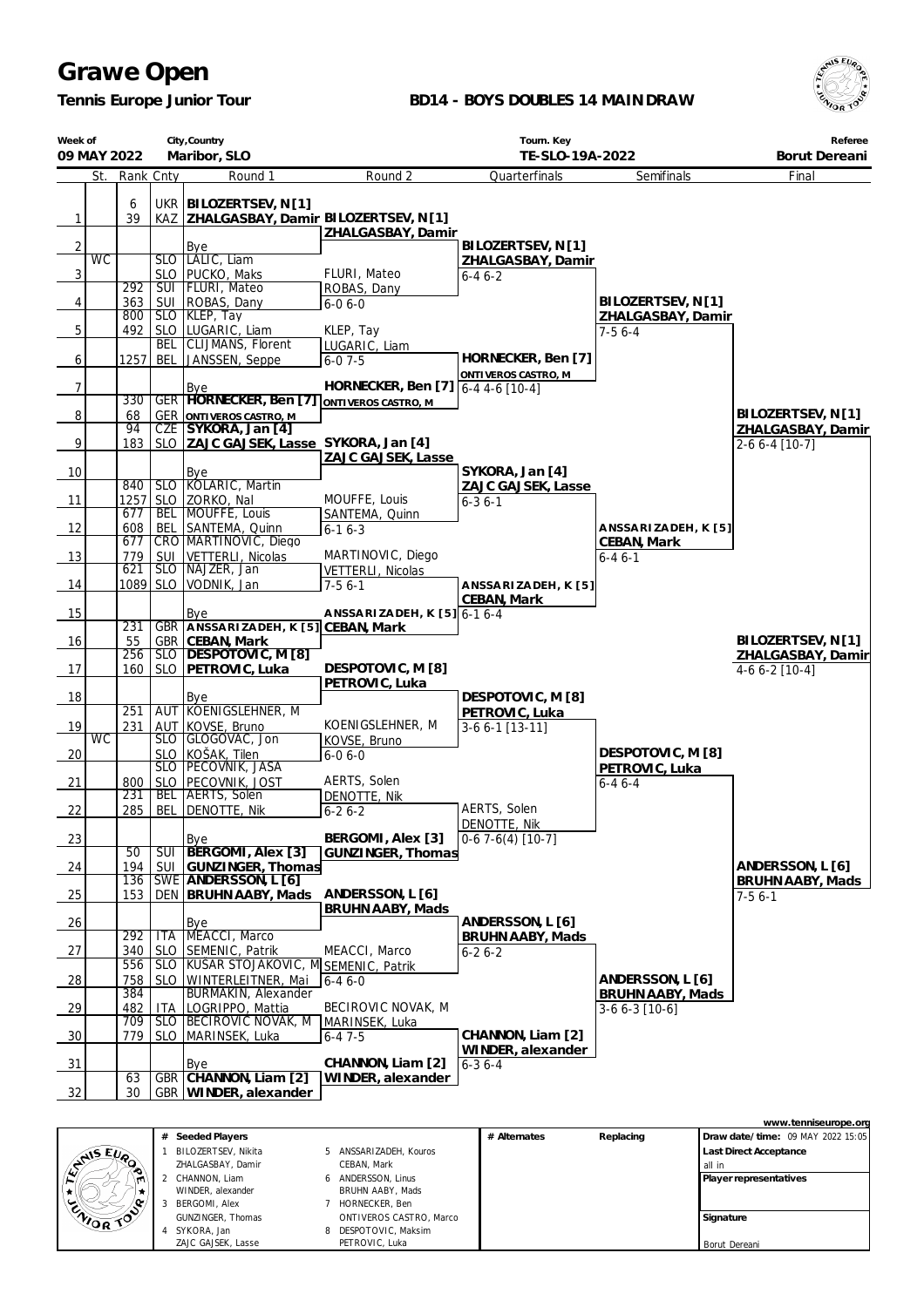*Tennis Europe Junior Tour*

### **BD14 - BOYS DOUBLES 14 MAINDRAW**



| Week of        | City, Country<br>09 MAY 2022<br>Maribor, SLO<br>Rank Cnty |            |                          |                                                                        |                                        | TE-SLO-19A-2022                    | Referee<br>Borut Dereani    |                                        |
|----------------|-----------------------------------------------------------|------------|--------------------------|------------------------------------------------------------------------|----------------------------------------|------------------------------------|-----------------------------|----------------------------------------|
|                | St.                                                       |            |                          | Round 1                                                                | Round 2                                | Quarterfinals                      | Semifinals                  | Final                                  |
| $\mathbf{1}$   |                                                           | 6<br>39    |                          | UKR   BILOZERTSEV, N [1]<br>KAZ   ZHALGASBAY, Damir BILOZERTSEV, N [1] |                                        |                                    |                             |                                        |
| $\overline{2}$ |                                                           |            |                          | Bye                                                                    | ZHALGASBAY, Damir                      | BILOZERTSEV, N[1]                  |                             |                                        |
|                | <b>WC</b>                                                 |            |                          | SLO   LALIC, Liam                                                      |                                        | ZHALGASBAY, Damir                  |                             |                                        |
| 3              |                                                           |            |                          | SLO   PUCKO, Maks                                                      | FLURI, Mateo                           | $6 - 46 - 2$                       |                             |                                        |
| 4              |                                                           | 292<br>363 | SUI                      | SUI   FLURI, Mateo<br>ROBAS, Dany                                      | ROBAS, Dany<br>$6 - 06 - 0$            |                                    | BILOZERTSEV, N [1]          |                                        |
|                |                                                           | 800        |                          | SLO KLEP, Tay                                                          |                                        |                                    | ZHALGASBAY, Damir           |                                        |
| 5              |                                                           | 492        |                          | SLO   LUGARIC, Liam                                                    | KLEP, Tay                              |                                    | $7-56-4$                    |                                        |
|                |                                                           |            | <b>BEL</b>               | <b>CLIJMANS, Florent</b>                                               | LUGARIC, Liam                          | HORNECKER, Ben [7]                 |                             |                                        |
| 6              |                                                           | 1257       | BEL                      | JANSSEN, Seppe                                                         | $6 - 07 - 5$                           | ONTI VEROS CASTRO, M               |                             |                                        |
| $\overline{7}$ |                                                           |            |                          | Bye                                                                    | HORNECKER, Ben [7]                     | $6-44-6$ [10-4]                    |                             |                                        |
|                |                                                           | 330        |                          | GER HORNECKER, Ben [7]                                                 | ONTIVEROS CASTRO, M                    |                                    |                             |                                        |
| 8              |                                                           | 68<br>94   |                          | <b>GER ONTIVEROS CASTRO, M</b><br>CZE SYKORA, Jan [4]                  |                                        |                                    |                             | BILOZERTSEV, N[1]<br>ZHALGASBAY, Damir |
| 9              |                                                           | 183        |                          | SLO   ZAJC GAJSEK, Lasse SYKORA, Jan [4]                               |                                        |                                    |                             | 2-6 6-4 [10-7]                         |
|                |                                                           |            |                          |                                                                        | ZAJC GAJSEK, Lasse                     |                                    |                             |                                        |
| 10             |                                                           | 840        |                          | Bye<br>SLO KOLARIC, Martin                                             |                                        | SYKORA, Jan [4]                    |                             |                                        |
| 11             |                                                           | 1257       |                          | SLO ZORKO, Nal                                                         | MOUFFE, Louis                          | ZAJC GAJSEK, Lasse<br>$6 - 36 - 1$ |                             |                                        |
|                |                                                           | 677        | <b>BEL</b>               | MOUFFE, Louis                                                          | SANTEMA, Quinn                         |                                    |                             |                                        |
| 12             |                                                           | 608        | <b>BEL</b>               | SANTEMA, Quinn                                                         | $6 - 16 - 3$                           |                                    | ANSSARIZADEH, K [5]         |                                        |
| 13             |                                                           | 677<br>779 | SUI                      | CRO MARTINOVIC, Diego<br>VETTERLI, Nicolas                             | MARTINOVIC, Diego                      |                                    | CEBAN, Mark<br>$6 - 46 - 1$ |                                        |
|                |                                                           | 621        | SLO                      | NAJZER, Jan                                                            | VETTERLI, Nicolas                      |                                    |                             |                                        |
| 14             |                                                           |            |                          | 1089 SLO VODNIK, Jan                                                   | $7-56-1$                               | ANSSARIZADEH, K [5]                |                             |                                        |
|                |                                                           |            |                          |                                                                        | A NSSA RIZA DEH, K [5] 6-1 6-4         | CEBAN, Mark                        |                             |                                        |
| 15             |                                                           | 231        |                          | Bye<br>GBR ANSSARIZADEH, K [5] CEBAN, Mark                             |                                        |                                    |                             |                                        |
| 16             |                                                           | 55         |                          | GBR CEBAN, Mark                                                        |                                        |                                    |                             | BILOZERTSEV, N[1]                      |
|                |                                                           | 256        |                          | SLO DESPOTOVIC, M [8]                                                  | DESPOTOVIC, M [8]                      |                                    |                             | ZHALGASBAY, Damir                      |
| 17             |                                                           | 160        |                          | SLO   PETROVIC, Luka                                                   | PETROVIC, Luka                         |                                    |                             | $4-66-2$ [10-4]                        |
| 18             |                                                           |            |                          | Bye                                                                    |                                        | DESPOTOVIC, M [8]                  |                             |                                        |
|                |                                                           | 251        |                          | AUT KOENIGSLEHNER, M                                                   |                                        | PETROVIC, Luka                     |                             |                                        |
| 19             | <b>WC</b>                                                 | 231        |                          | AUT KOVSE, Bruno<br>SLO GLOGOVAC, Jon                                  | KOENIGSLEHNER, M<br>KOVSE, Bruno       | $3-66-1$ [13-11]                   |                             |                                        |
| 20             |                                                           |            |                          | SLO KOŠAK, Tilen<br>SLO PECOVNIK, JASA                                 | $6 - 06 - 0$                           |                                    | DESPOTOVIC, M [8]           |                                        |
|                |                                                           |            |                          |                                                                        |                                        |                                    | PETROVIC, Luka              |                                        |
| 21             |                                                           | 800<br>231 | <b>BEL</b>               | SLO PECOVNIK, JOST<br><b>AERTS, Solen</b>                              | AERTS, Solen<br>DENOTTE, Nik           |                                    | $6 - 46 - 4$                |                                        |
| 22             |                                                           | 285        |                          | BEL   DENOTTE, Nik                                                     | $6 - 26 - 2$                           | AERTS, Solen                       |                             |                                        |
|                |                                                           |            |                          |                                                                        |                                        | DENOTTE, Nik                       |                             |                                        |
| 23             |                                                           | 50         | उण                       | Bye<br>BERGOMI, Alex [3]                                               | BERGOMI, Alex [3]<br>GUNZINGER, Thomas | $0-67-6(4)$ [10-7]                 |                             |                                        |
| 24             |                                                           | 194        | <b>SUI</b>               | GUNZINGER, Thomas                                                      |                                        |                                    |                             | ANDERSSON, L [6]                       |
|                |                                                           | 136        |                          | SWE ANDERSSON, L [6]                                                   |                                        |                                    |                             | BRUHN AABY, Mads                       |
| 25             |                                                           | 153        |                          | DEN BRUHN AABY, Mads                                                   | ANDERSSON, L [6]                       |                                    |                             | $7-56-1$                               |
| 26             |                                                           |            |                          | Bye                                                                    | BRUHN AABY, Mads                       | ANDERSSON, L [6]                   |                             |                                        |
|                |                                                           | 292        | <b>ITA</b>               | MEACCI, Marco                                                          |                                        | BRUHN AABY, Mads                   |                             |                                        |
| 27             |                                                           | 340        | <b>SLO</b>               | SEMENIC, Patrik                                                        | MEACCI, Marco                          | $6 - 26 - 2$                       |                             |                                        |
| <u>28</u>      |                                                           | 556<br>758 | <b>SLO</b><br><b>SLO</b> | KUŠAR STOJAKOVIC, M SEMENIC, Patrik<br>WINTERLEITNER, Mai              | $6 - 46 - 0$                           |                                    | ANDERSSON, L [6]            |                                        |
|                |                                                           | 384        |                          | <b>BURMAKIN, Alexander</b>                                             |                                        |                                    | BRUHN AABY, Mads            |                                        |
| 29             |                                                           | 482        | <b>ITA</b>               | LOGRIPPO, Mattia                                                       | BECIROVIC NOVAK, M                     |                                    | 3-6 6-3 [10-6]              |                                        |
| 30             |                                                           | 709<br>779 | <b>SLO</b>               | <b>BECIROVIC NOVAK, M</b><br>SLO   MARINSEK, Luka                      | MARINSEK, Luka<br>$6 - 47 - 5$         | CHANNON, Liam [2]                  |                             |                                        |
|                |                                                           |            |                          |                                                                        |                                        | WINDER, alexander                  |                             |                                        |
| 31             |                                                           |            |                          | Bye                                                                    | CHANNON, Liam [2]                      | $6 - 36 - 4$                       |                             |                                        |
|                |                                                           | 63<br>30   | GBR                      | CHANNON, Liam [2]<br>GBR WINDER, alexander                             | WINDER, alexander                      |                                    |                             |                                        |
| 32             |                                                           |            |                          |                                                                        |                                        |                                    |                             |                                        |
|                |                                                           |            |                          |                                                                        |                                        |                                    |                             | www.tenniseurone.org                   |

|                  | # Seeded Players    |  |                         | # Alternates | Replacing | Draw date/time: 09 MAY 2022 15:05 |  |
|------------------|---------------------|--|-------------------------|--------------|-----------|-----------------------------------|--|
|                  | BILOZERTSEV, Nikita |  | 5 ANSSARIZADEH, Kouros  |              |           | Last Direct Acceptance            |  |
| ENNIS EUP<br>æ.  | ZHALGASBAY, Damir   |  | CEBAN, Mark             |              |           | all in                            |  |
| m                | 2 CHANNON, Liam     |  | 6 ANDERSSON, Linus      |              |           | Player representatives            |  |
|                  | WINDER, alexander   |  | BRUHN AABY, Mads        |              |           |                                   |  |
| 0,               | BERGOMI, Alex       |  | HORNECKER, Ben          |              |           |                                   |  |
| <b>ENIOR TOP</b> | GUNZINGER, Thomas   |  | ONTIVEROS CASTRO, Marco |              |           | Signature                         |  |
|                  | SYKORA, Jan         |  | 8 DESPOTOVIC, Maksim    |              |           |                                   |  |
|                  | ZAJC GAJSEK, Lasse  |  | PETROVIC, Luka          |              |           | Borut Dereani                     |  |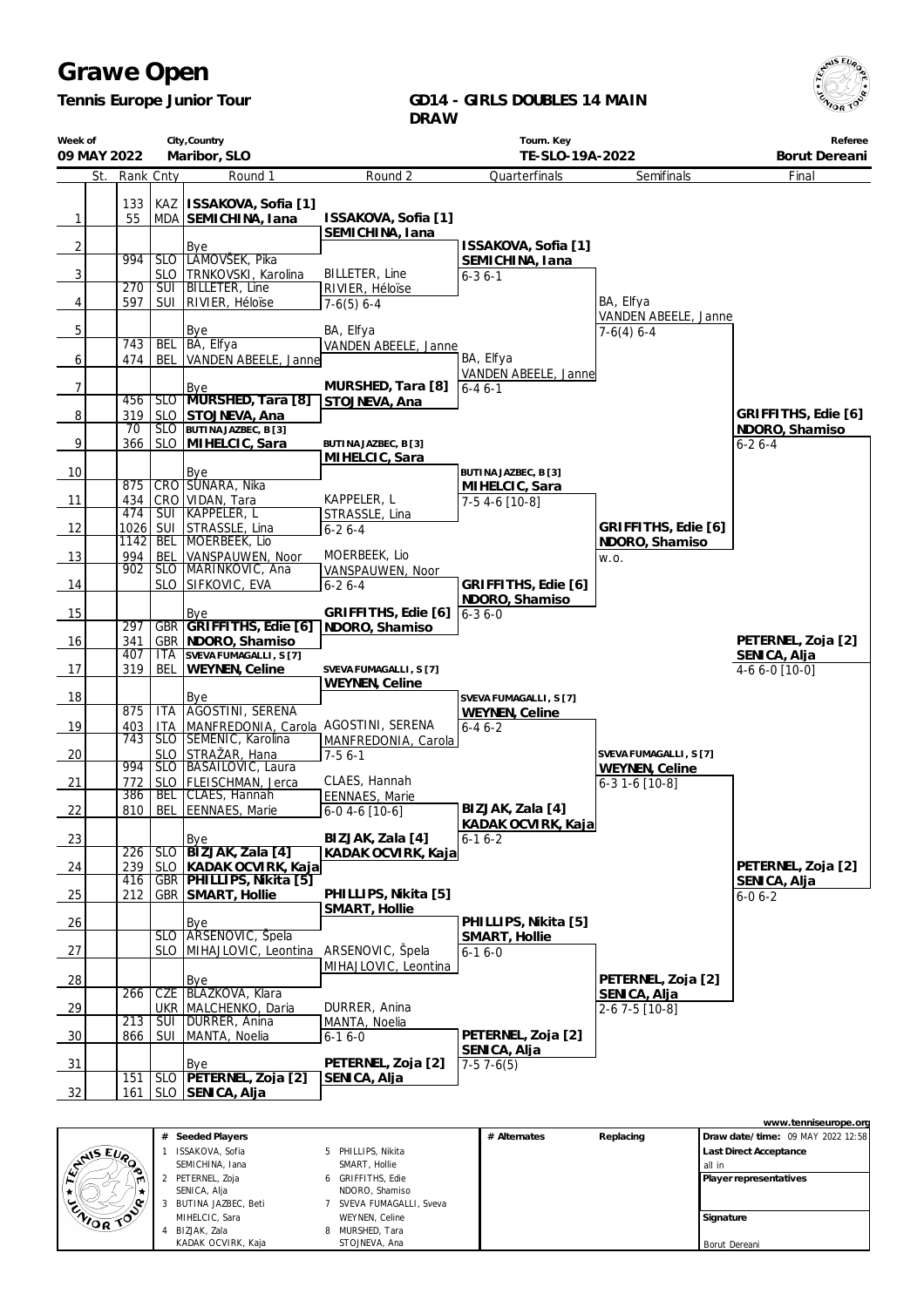$\sqrt{5}$  EU

*Tennis Europe Junior Tour*

#### **GD14 - GIRLS DOUBLES 14 MAIN DRAW**

| Week of        |            |           |                         | City, Country                             |                               | Tourn. Key                     |                                   | Referee             |
|----------------|------------|-----------|-------------------------|-------------------------------------------|-------------------------------|--------------------------------|-----------------------------------|---------------------|
| 09 MAY 2022    |            |           |                         | Maribor, SLO                              |                               | TE-SLO-19A-2022                |                                   | Borut Dereani       |
|                | St.        | Rank Cnty |                         | Round 1                                   | Round 2                       | Quarterfinals                  | Semifinals                        | Final               |
|                | 133        |           |                         | KAZ   ISSAKOVA, Sofia [1]                 |                               |                                |                                   |                     |
| $\mathbf{1}$   | 55         |           |                         | MDA SEMICHINA, Iana                       | ISSAKOVA, Sofia [1]           |                                |                                   |                     |
|                |            |           |                         |                                           | SEMICHINA, Iana               |                                |                                   |                     |
| $\overline{2}$ |            |           |                         | Bye                                       |                               | ISSAKOVA, Sofia [1]            |                                   |                     |
|                | 994        |           | SLO                     | LAMOVSEK, Pika                            |                               | SEMICHINA, Iana                |                                   |                     |
| 3              |            |           | <b>SLO</b>              | TRNKOVSKI, Karolina                       | BILLETER, Line                | $6 - 36 - 1$                   |                                   |                     |
|                | 270        |           | SUI                     | <b>BILLETER, Line</b>                     | RIVIER, Héloïse               |                                |                                   |                     |
| 4              | 597        |           | <b>SUI</b>              | RIVIER, Héloïse                           | $7-6(5)$ 6-4                  |                                | BA, Elfya<br>VANDEN ABEELE, Janne |                     |
| 5              |            |           |                         | Bye                                       | BA, Elfya                     |                                | $7-6(4)$ 6-4                      |                     |
|                | 743        |           | <b>BEL</b>              | BA, Elfya                                 | VANDEN ABEELE, Janne          |                                |                                   |                     |
| 6              | 474        |           | <b>BEL</b>              | VANDEN ABEELE, Janne                      |                               | BA, Elfya                      |                                   |                     |
|                |            |           |                         |                                           |                               | VANDEN ABEELE, Janne           |                                   |                     |
| $\overline{7}$ | 456        |           |                         | Bye<br>SLO MURSHED, Tara [8]              | MURSHED, Tara [8]             | $6 - 46 - 1$                   |                                   |                     |
| $\sqrt{8}$     | 319        |           | <b>SLO</b>              | STOJNEVA, Ana                             | STOJNEVA, Ana                 |                                |                                   | GRIFFITHS, Edie [6] |
|                | 70         |           | SLO                     | BUTINA JAZBEC, B [3]                      |                               |                                |                                   | NDORO, Shamiso      |
| 9              | 366        |           | <b>SLO</b>              | MIHELCIC, Sara                            | BUTINA JAZBEC, B [3]          |                                |                                   | $6 - 26 - 4$        |
|                |            |           |                         |                                           | MIHELCIC, Sara                |                                |                                   |                     |
| 10             |            |           |                         | <b>Bye</b>                                |                               | BUTINA JAZBEC, B [3]           |                                   |                     |
|                | 875        |           |                         | CRO SÚNARA, Nika                          |                               | MIHELCIC, Sara                 |                                   |                     |
| 11             | 434<br>474 |           | $\overline{\text{SUI}}$ | CRO VIDAN, Tara<br>KAPPELER, L            | KAPPELER, L<br>STRASSLE, Lina | 7-5 4-6 [10-8]                 |                                   |                     |
| 12             |            | 1026 SUI  |                         | STRASSLE, Lina                            | $6 - 26 - 4$                  |                                | GRIFFITHS, Edie [6]               |                     |
|                | 1142       |           | <b>BEL</b>              | MOERBEEK, Lio                             |                               |                                | NDORO, Shamiso                    |                     |
| 13             | 994        |           | BEL                     | VANSPAUWEN, Noor                          | MOERBEEK, Lio                 |                                | W.O.                              |                     |
|                | 902        |           |                         | SLO MARINKOVIC, Ana                       | VANSPAUWEN, Noor              |                                |                                   |                     |
| 14             |            |           |                         | SLO SIFKOVIC, EVA                         | $6 - 26 - 4$                  | GRIFFITHS, Edie [6]            |                                   |                     |
|                |            |           |                         |                                           | GRIFFITHS, Edie [6]           | NDORO, Shamiso                 |                                   |                     |
| 15             | 297        |           | <b>GBR</b>              | Bye<br>GRIFFITHS, Edie [6] NDORO, Shamiso |                               | $6 - 36 - 0$                   |                                   |                     |
| 16             | 341        |           |                         | GBR   NDORO, Shamiso                      |                               |                                |                                   | PETERNEL, Zoja [2]  |
|                | 407        |           | <b>ITA</b>              | SVEVA FUMAGALLI, S [7]                    |                               |                                |                                   | SENICA, Alja        |
| 17             | 319        |           | BEL                     | WEYNEN, Celine                            | SVEVA FUMAGALLI, S [7]        |                                |                                   | 4-6 6-0 [10-0]      |
|                |            |           |                         |                                           | WEYNEN, Celine                |                                |                                   |                     |
| 18             | 875        |           | <b>ITA</b>              | Bye<br>AGOSTINI, SERENA                   |                               | SVEVA FUMAGALLI, S [7]         |                                   |                     |
| 19             | 403        |           | <b>ITA</b>              | MANFREDONIA, Carola AGOSTINI, SERENA      |                               | WEYNEN, Celine<br>$6 - 46 - 2$ |                                   |                     |
|                | 743        |           | SLO                     | SEMENIC, Karolina                         | MANFREDONIA, Carola           |                                |                                   |                     |
| 20             |            |           | <b>SLO</b>              | STRAŽAR, Hana                             | $7-56-1$                      |                                | SVEVA FUMAGALLI, S [7]            |                     |
|                | 994        |           |                         | SLO   BASAILOVIC, Laura                   |                               |                                | WEYNEN, Celine                    |                     |
| 21             | 772        |           | <b>SLO</b>              | FLEISCHMAN, Jerca                         | CLAES, Hannah                 |                                | 6-3 1-6 [10-8]                    |                     |
|                | 386<br>810 |           | <b>BEL</b>              | CLAES, Hannah<br>EENNAES, Marie           | EENNAES, Marie                | BIZJAK, Zala [4]               |                                   |                     |
| 22             |            |           | BEL                     |                                           | $6-0$ 4-6 [10-6]              | KADAK OCVIRK, Kaja             |                                   |                     |
| 23             |            |           |                         | Bye                                       | BIZJAK, Zala [4]              | $6-16-2$                       |                                   |                     |
|                | 226        |           | <b>SLO</b>              | BIZJAK, Zala [4]                          | KADAK OCVIRK, Kaja            |                                |                                   |                     |
| 24             | 239        |           | <b>SLO</b>              | KADAK OCVIRK, Kaja                        |                               |                                |                                   | PETERNEL, Zoja [2]  |
|                | 416        |           | <b>GBR</b>              | PHILLIPS, Nikita [5]                      |                               |                                |                                   | SENICA, Alja        |
| 25             | 212        |           | <b>GBR</b>              | SMART, Hollie                             | PHILLIPS, Nikita [5]          |                                |                                   | $6 - 06 - 2$        |
| 26             |            |           |                         | <b>Bye</b>                                | SMART, Hollie                 | PHILLIPS, Nikita [5]           |                                   |                     |
|                |            |           | <b>SLO</b>              | ARSENOVIC, Spela                          |                               | SMART, Hollie                  |                                   |                     |
| 27             |            |           | <b>SLO</b>              | MIHAJLOVIC, Leontina                      | ARSENOVIC, Špela              | $6 - 16 - 0$                   |                                   |                     |
|                |            |           |                         |                                           | MIHAJLOVIC, Leontina          |                                |                                   |                     |
| 28             |            |           |                         | Bye                                       |                               |                                | PETERNEL, Zoja [2]                |                     |
|                | 266        |           | <b>CZE</b>              | <b>BLAZKOVA, Klara</b>                    |                               |                                | SENICA, Alja                      |                     |
| 29             |            |           |                         | UKR   MALCHENKO, Daria                    | DURRER, Anina                 |                                | 2-6 7-5 [10-8]                    |                     |
| 30             | 213<br>866 |           | <b>SUI</b><br>SUI       | DURRER, Anina<br>MANTA, Noelia            | MANTA, Noelia                 | PETERNEL, Zoja [2]             |                                   |                     |
|                |            |           |                         |                                           | $6 - 16 - 0$                  | SENICA, Alja                   |                                   |                     |
| 31             |            |           |                         | Bye                                       | PETERNEL, Zoja [2]            | $7-57-6(5)$                    |                                   |                     |
|                | 151        |           |                         | SLO   PETERNEL, Zoja [2]                  | SENICA, Alja                  |                                |                                   |                     |
| 32             | 161        |           |                         | SLO SENICA, Alja                          |                               |                                |                                   |                     |

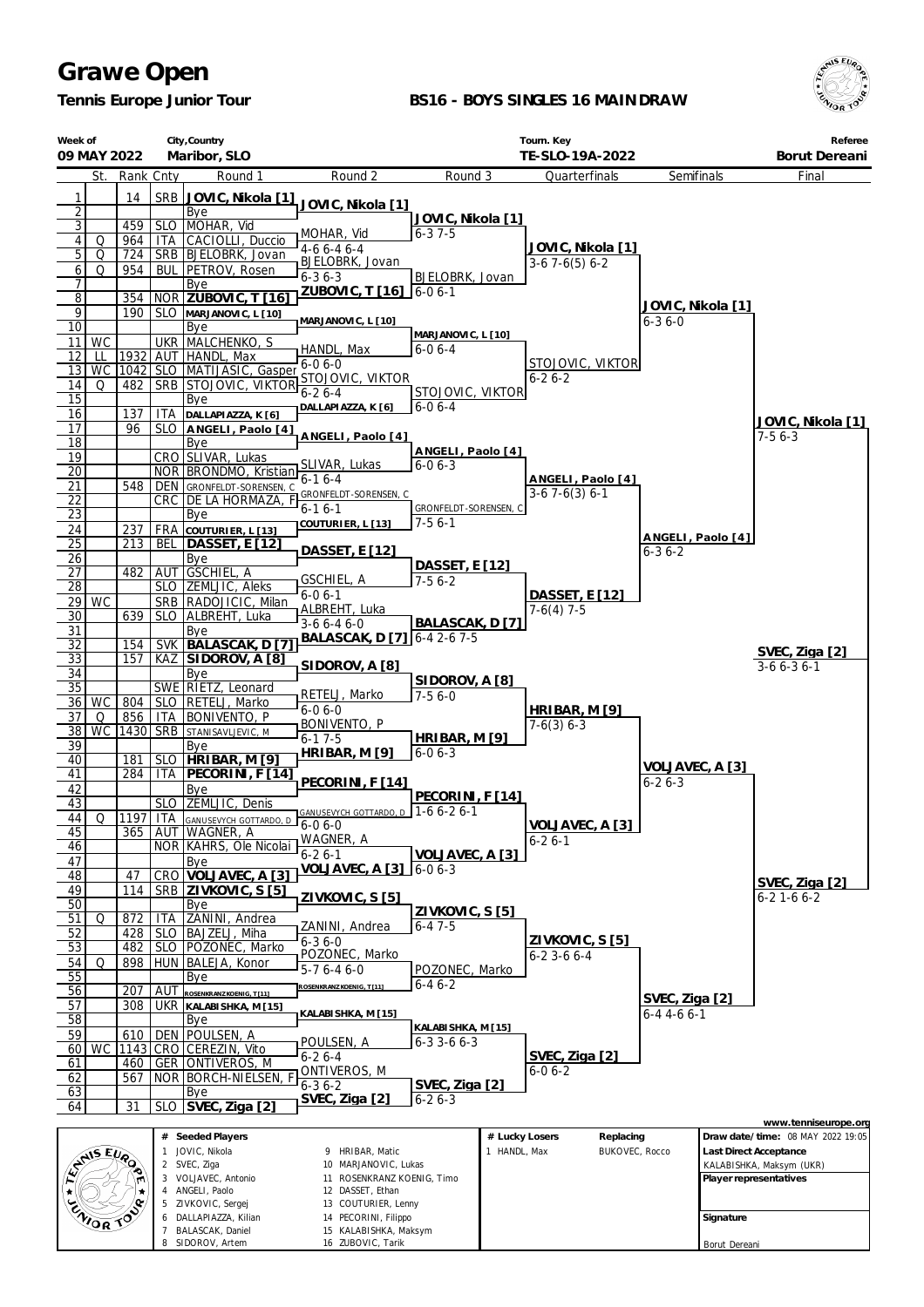*Tennis Europe Junior Tour*

7 BALASCAK, Daniel 8 SIDOROV, Artem

15 KALABISHKA, Maksym 16 ZUBOVIC, Tarik

#### **BS16 - BOYS SINGLES 16 MAINDRAW**



Borut Dereani

|                                    | City, Country<br>Week of<br>Maribor, SLO<br>09 MAY 2022 |             |                 |                                                           |                                                    | Tourn. Key<br>TE-SLO-19A-2022                      |                |                                        |                                   |           | Referee<br>Borut Dereani                                  |
|------------------------------------|---------------------------------------------------------|-------------|-----------------|-----------------------------------------------------------|----------------------------------------------------|----------------------------------------------------|----------------|----------------------------------------|-----------------------------------|-----------|-----------------------------------------------------------|
|                                    | St.                                                     | Rank Cnty   |                 | Round 1                                                   | Round 2                                            | Round 3                                            |                | Quarterfinals                          | Semifinals                        |           | Final                                                     |
| 1                                  |                                                         | 14          | SRB             | JOVIC, Nikola [1]                                         |                                                    |                                                    |                |                                        |                                   |           |                                                           |
| $\overline{2}$                     |                                                         |             |                 | Bye                                                       | JOVIC, Nikola [1]                                  | JOVIC, Nikola [1]                                  |                |                                        |                                   |           |                                                           |
| $\overline{3}$                     |                                                         | 459         | <b>SLO</b>      | MOHAR, Vid                                                | MOHAR, Vid                                         | $6 - 37 - 5$                                       |                |                                        |                                   |           |                                                           |
| 4<br>$\overline{5}$                | Q<br>Q                                                  | 964<br>724  | ITA             | CACIOLLI, Duccio<br>SRB BJELOBRK, Jovan                   | $4-66-46-4$                                        |                                                    |                | JOVIC, Nikola [1]                      |                                   |           |                                                           |
| $6 \mid$                           | Q                                                       | 954         |                 | <b>BUL   PETROV, Rosen</b>                                | BJELOBRK, Jovan                                    |                                                    |                | $3-67-6(5)6-2$                         |                                   |           |                                                           |
| 7                                  |                                                         |             |                 | Bye                                                       | $6 - 36 - 3$<br>ZUBOVIC, T [16] 6-0 6-1            | BJELOBRK, Jovan                                    |                |                                        |                                   |           |                                                           |
| $\overline{8}$<br>$\overline{9}$   |                                                         | 354         |                 | NOR ZUBOVIC, T [16                                        |                                                    |                                                    |                |                                        | JOVIC, Nikola [1]                 |           |                                                           |
| $\overline{10}$                    |                                                         | 190         |                 | SLO MARJANOVIC, L [10]<br>Bye                             | MARJANOVIC, L [10]                                 |                                                    |                |                                        | $6 - 36 - 0$                      |           |                                                           |
| 11                                 | WC                                                      |             |                 | UKR MALCHENKO, S                                          | HANDL, Max                                         | MARJANOVIC, L [10]<br>6-0 6-4                      |                |                                        |                                   |           |                                                           |
| 12                                 | LL                                                      | 1932        |                 | AUT HANDL, Max                                            | $6 - 06 - 0$                                       |                                                    |                | STOJOVIC, VIKTOR                       |                                   |           |                                                           |
| 13 <sup>1</sup><br>14              | <b>WC</b><br>Q                                          | 482         |                 | 1042 SLO MATIJASIC, Gasper<br><b>SRB STOJOVIC, VIKTOR</b> | STOJOVIC, VIKTOR                                   |                                                    |                | $6 - 26 - 2$                           |                                   |           |                                                           |
| $\overline{15}$                    |                                                         |             |                 | Bye                                                       | $6 - 26 - 4$                                       | STOJOVIC, VIKTOR                                   |                |                                        |                                   |           |                                                           |
| 16                                 |                                                         | 137         | ITA             | DALLAPIAZZA, K [6]                                        | DALLAPIAZZA, K [6]                                 | $6 - 06 - 4$                                       |                |                                        |                                   |           | JOVIC, Nikola [1]                                         |
| 17<br>18                           |                                                         | 96          |                 | SLO ANGELI, Paolo [4]                                     | ANGELI, Paolo [4]                                  |                                                    |                |                                        |                                   |           | $7-56-3$                                                  |
| 19                                 |                                                         |             |                 | Bye<br>CRO SLIVAR, Lukas                                  |                                                    | ANGELI, Paolo [4]                                  |                |                                        |                                   |           |                                                           |
| $\overline{20}$                    |                                                         |             |                 | NOR BRONDMO, Kristian                                     | SLIVAR, Lukas<br>$6 - 16 - 4$                      | $6 - 06 - 3$                                       |                |                                        |                                   |           |                                                           |
| 21                                 |                                                         | 548         | DEN             | GRONFELDT-SORENSEN, C                                     | GRONFELDT-SORENSEN, C                              |                                                    |                | ANGELI, Paolo [4]<br>$3-67-6(3)6-1$    |                                   |           |                                                           |
| $\overline{22}$<br>$\overline{23}$ |                                                         |             |                 | CRC DE LA HORMAZA,<br>Bye                                 | $6-16-1$                                           | GRONFELDT-SORENSEN, C                              |                |                                        |                                   |           |                                                           |
| 24                                 |                                                         | 237         |                 | <b>FRA</b> COUTURIER, L [13]                              | COUTURIER, L [13]                                  | $7-56-1$                                           |                |                                        |                                   |           |                                                           |
| $\overline{25}$                    |                                                         | 213         | BEL             | <b>DASSET, E [12]</b>                                     | DASSET, E [12]                                     |                                                    |                |                                        | ANGELI, Paolo [4]<br>$6 - 36 - 2$ |           |                                                           |
| 26                                 |                                                         |             |                 | Bye                                                       |                                                    | DASSET, E [12]                                     |                |                                        |                                   |           |                                                           |
| 27<br>28                           |                                                         | 482         |                 | AUT GSCHIEL, A<br>SLO ZEMLJIC, Aleks                      | GSCHIEL, A                                         | $7-56-2$                                           |                |                                        |                                   |           |                                                           |
|                                    | $29)$ WC                                                |             |                 | SRB   RADOJICIC, Milan                                    | $6 - 06 - 1$                                       |                                                    |                | DASSET, E [12]                         |                                   |           |                                                           |
| 30                                 |                                                         | 639         |                 | SLO ALBREHT, Luka                                         | ALBREHT, Luka<br>$3-66-46-0$                       | BALASCAK, D [7]                                    |                | $7-6(4)$ 7-5                           |                                   |           |                                                           |
| 31                                 |                                                         |             |                 | Bye                                                       | BALASCAK, D [7]                                    | $6 - 42 - 67 - 5$                                  |                |                                        |                                   |           |                                                           |
| 32<br>33                           |                                                         | 154<br>157  | SVK<br>KAZ      | BALASCAK, D [7]<br>SIDOROV, A [8]                         |                                                    |                                                    |                |                                        |                                   |           | SVEC, Ziga [2]                                            |
| 34                                 |                                                         |             |                 | Bye                                                       | SIDOROV, A [8]                                     |                                                    |                |                                        |                                   |           | $3-66-36-1$                                               |
| $\overline{35}$                    |                                                         |             |                 | SWE RIETZ, Leonard                                        | RETELJ, Marko                                      | SIDOROV, A [8]<br>$7-56-0$                         |                |                                        |                                   |           |                                                           |
| 36                                 | WC                                                      | 804<br>856  |                 | SLO   RETELJ, Marko                                       | $6 - 06 - 0$                                       |                                                    |                | HRIBAR, M [9]                          |                                   |           |                                                           |
| 37<br>38                           | Q<br><b>WC</b>                                          |             | ITA<br>1430 SRB | <b>BONIVENTO, P</b><br>STANISAVLJEVIC, M                  | BONIVENTO, P                                       |                                                    |                | $7-6(3)$ 6-3                           |                                   |           |                                                           |
| 39                                 |                                                         |             |                 | Bye                                                       | $6 - 17 - 5$<br>HRIBAR, M [9]                      | HRIBAR, M [9]<br>$6 - 06 - 3$                      |                |                                        |                                   |           |                                                           |
| $\overline{40}$                    |                                                         | 181         |                 | SLO   HRIBAR, M [9]                                       |                                                    |                                                    |                |                                        | VOLJAVEC, A [3]                   |           |                                                           |
| 41<br>42                           |                                                         | 284         | ITA             | PECORINI, F [14]<br>Bye                                   | PECORINI, F [14]                                   |                                                    |                |                                        | $6 - 26 - 3$                      |           |                                                           |
| 43                                 |                                                         |             |                 | SLO ZEMLJIC, Denis                                        |                                                    | PECORINI, F [14]                                   |                |                                        |                                   |           |                                                           |
|                                    |                                                         |             |                 | 44 Q 1197 ITA GANLISEVYCH GOTTARDO D                      | GANUSEVYCH GOTTARDO, D 1-6 6-2 6-1<br>$6 - 06 - 0$ |                                                    |                |                                        |                                   |           |                                                           |
| 45                                 |                                                         | 365         |                 | AUT WAGNER, A                                             | WAGNER, A                                          |                                                    |                | <u>VOLJAVEC, A [3]</u><br>$6 - 26 - 1$ |                                   |           |                                                           |
| 46<br>47                           |                                                         |             |                 | NOR KAHRS, Ole Nicolai<br>Bye                             | $6 - 26 - 1$                                       | VOLJAVEC, A [3]                                    |                |                                        |                                   |           |                                                           |
| 48                                 |                                                         | 47          |                 | CRO VOLJAVEC, A [3]                                       | VOLJAVEC, A [3] 6-0 6-3                            |                                                    |                |                                        |                                   |           |                                                           |
| 49                                 |                                                         | 114         |                 | SRB ZIVKOVIC, S [5]                                       | ZIVKOVIC, S [5]                                    |                                                    |                |                                        |                                   |           | SVEC, Ziga [2]<br>$6 - 2$ 1 - 6 $6 - 2$                   |
| $\overline{50}$<br>51              | Q                                                       | 872         | ITA             | Bye<br>ZANINI, Andrea                                     |                                                    | ZIVKOVIC, S [5]                                    |                |                                        |                                   |           |                                                           |
| 52                                 |                                                         | 428         | <b>SLO</b>      | BAJZELJ, Miha                                             | ZANINI, Andrea                                     | $6 - 47 - 5$                                       |                |                                        |                                   |           |                                                           |
| 53                                 |                                                         | 482         |                 | SLO   POZONEC, Marko                                      | $6 - 36 - 0$<br>POZONEC, Marko                     |                                                    |                | ZIVKOVIC, S [5]                        |                                   |           |                                                           |
| 54                                 | Q                                                       | 898         |                 | HUN   BALEJA, Konor                                       | $5-76-46-0$                                        | POZONEC, Marko                                     |                | $6 - 23 - 66 - 4$                      |                                   |           |                                                           |
| 55                                 |                                                         | 207         | AUT             | Bye                                                       | ROSENKRANZ KOENIG. T1111                           | $6 - 46 - 2$                                       |                |                                        |                                   |           |                                                           |
| 56<br>57                           |                                                         | 308         | ukr             | ROSENKRANZ KOENIG. T [11]<br>KALABI SHKA, M [15]          |                                                    |                                                    |                |                                        | SVEC, Ziga [2]                    |           |                                                           |
| 58                                 |                                                         |             |                 | Bye                                                       | KALABISHKA, M [15]                                 |                                                    |                |                                        | $6 - 44 - 66 - 1$                 |           |                                                           |
| 59                                 |                                                         | 610         | <b>DEN</b>      | POULSEN, A                                                | POULSEN, A                                         | <u>KALABISHKA, M [15]</u><br>$6 - 3$ 3 - 6 $6 - 3$ |                |                                        |                                   |           |                                                           |
| 60<br>61                           | WC                                                      | 1143<br>460 |                 | CRO CEREZIN, Vito<br>GER ONTIVEROS, M                     | $6 - 26 - 4$                                       |                                                    |                | SVEC, Ziga [2]                         |                                   |           |                                                           |
| 62                                 |                                                         | 567         |                 | NOR   BORCH-NIELSEN,                                      | <u>ONTIVEROS, M</u>                                |                                                    |                | $6 - 06 - 2$                           |                                   |           |                                                           |
| 63                                 |                                                         |             |                 | Bye                                                       | $6 - 36 - 2$                                       | SVEC, Ziga [2]                                     |                |                                        |                                   |           |                                                           |
| 64                                 |                                                         | 31          | <b>SLO</b>      | SVEC, Ziga [2]                                            | SVEC, Ziga [2]                                     | $6 - 26 - 3$                                       |                |                                        |                                   |           |                                                           |
|                                    |                                                         |             |                 | # Seeded Players                                          |                                                    |                                                    | # Lucky Losers | Replacing                              |                                   |           | www.tenniseurope.org<br>Draw date/time: 08 MAY 2022 19:05 |
|                                    | <b>ANSEURO</b>                                          |             |                 | 1 JOVIC, Nikola                                           | 9 HRIBAR, Matic                                    |                                                    | 1 HANDL, Max   | BUKOVEC, Rocco                         |                                   |           | Last Direct Acceptance                                    |
|                                    |                                                         |             |                 | 2 SVEC, Ziga                                              | 10 MARJANOVIC, Lukas                               |                                                    |                |                                        |                                   |           | KALABISHKA, Maksym (UKR)                                  |
|                                    |                                                         |             |                 | 3 VOLJAVEC, Antonio<br>4 ANGELI, Paolo                    | 11 ROSENKRANZ KOENIG, Timo<br>12 DASSET, Ethan     |                                                    |                |                                        |                                   |           | Player representatives                                    |
|                                    |                                                         |             |                 | 5 ZIVKOVIC, Sergej                                        | 13 COUTURIER, Lenny                                |                                                    |                |                                        |                                   |           |                                                           |
|                                    | ENIOR TOP                                               |             | 6               | DALLAPIAZZA, Kilian<br><b>BALASCAK, Daniel</b>            | 14 PECORINI, Filippo<br>15 KALABISHKA, Maksym      |                                                    |                |                                        |                                   | Signature |                                                           |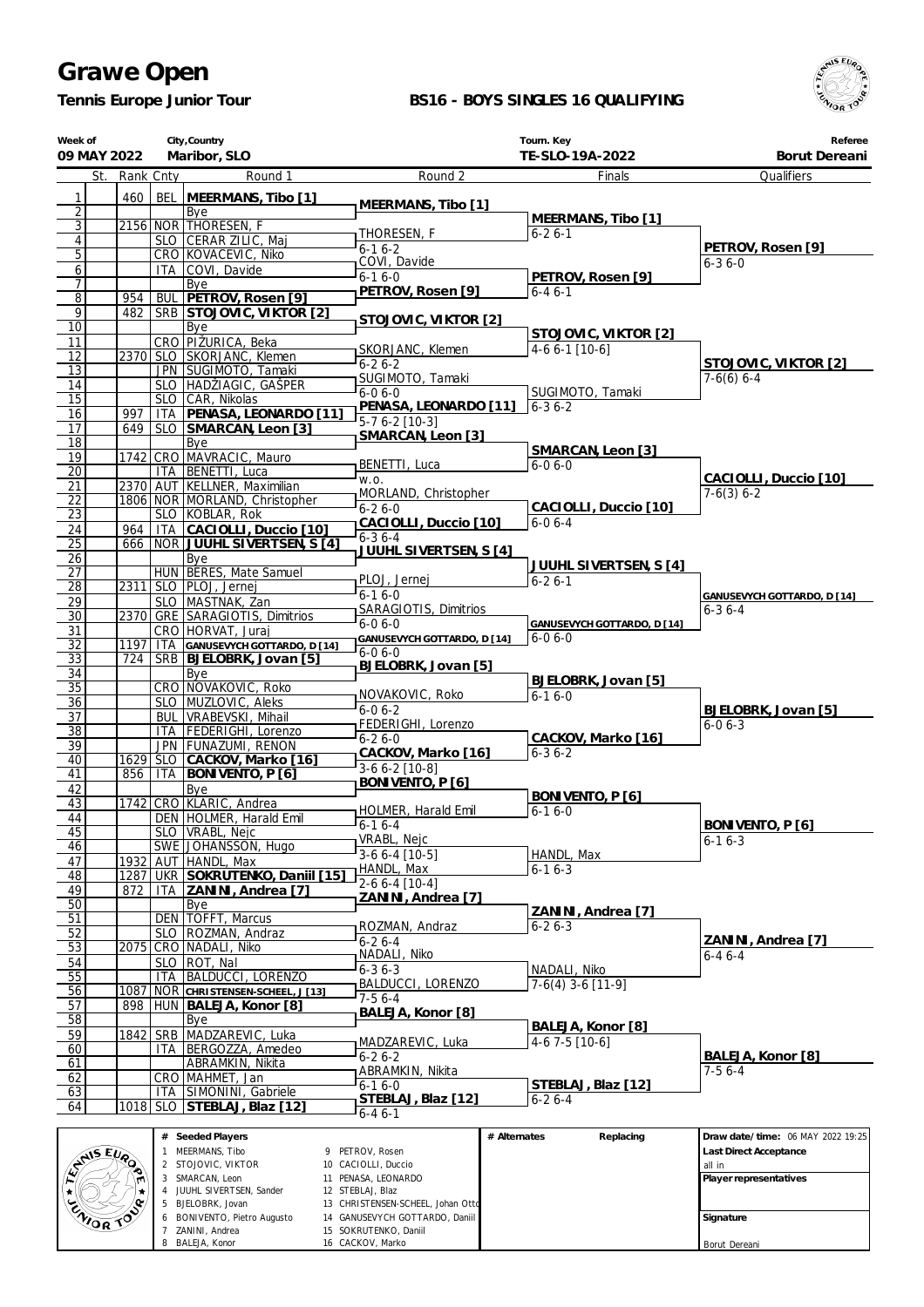*Tennis Europe Junior Tour*

### **BS16 - BOYS SINGLES 16 QUALIFYING**



|                       | Week of<br>09 MAY 2022                  |           |                   | City, Country<br>Maribor, SLO                | Tourn. Key<br>TE-SLO-19A-2022<br>Borut Dereani |                             |                                   |
|-----------------------|-----------------------------------------|-----------|-------------------|----------------------------------------------|------------------------------------------------|-----------------------------|-----------------------------------|
|                       | St.                                     | Rank Cnty |                   | Round 1                                      | Round 2                                        | Finals                      | Qualifiers                        |
| 1                     |                                         | 460       | <b>BEL</b>        | MEERMANS, Tibo [1]                           |                                                |                             |                                   |
| $\overline{2}$        |                                         |           |                   | Bye                                          | MEERMANS, Tibo [1]                             |                             |                                   |
| $\overline{3}$        |                                         |           |                   | 2156 NOR THORESEN, F                         |                                                | MEERMANS, Tibo [1]          |                                   |
| $\vert 4 \vert$       |                                         |           |                   | SLO CERAR ZILIC, Maj                         | THORESEN, F<br>$6 - 16 - 2$                    | $6 - 26 - 1$                | PETROV, Rosen [9]                 |
| 5                     |                                         |           |                   | CRO KOVACEVIC, Niko                          | COVI, Davide                                   |                             | $6 - 36 - 0$                      |
| $6 \mid$              |                                         |           |                   | ITA COVI, Davide                             | $6 - 16 - 0$                                   | PETROV, Rosen [9]           |                                   |
| $\overline{7}$        |                                         |           |                   | Bye                                          | PETROV, Rosen [9]                              | $6 - 46 - 1$                |                                   |
| $\overline{8}$        |                                         | 954       |                   | BUL   PETROV, Rosen [9]                      |                                                |                             |                                   |
| 9                     |                                         | 482       |                   | SRB STOJOVIC, VIKTOR [2]                     | STOJOVIC, VIKTOR [2]                           |                             |                                   |
| $\overline{10}$       |                                         |           |                   | Bye<br>CRO PIŽURICA, Beka                    |                                                | STOJOVIC, VIKTOR [2]        |                                   |
| 11<br>$\overline{12}$ |                                         |           |                   | 2370 SLO SKORJANC, Klemen                    | SKORJANC, Klemen                               | $4-6$ 6-1 [10-6]            |                                   |
| 13                    |                                         |           |                   | JPN SUGIMOTO, Tamaki                         | $6 - 26 - 2$                                   |                             | STOJOVIC, VIKTOR [2]              |
| 14                    |                                         |           |                   | SLO HADŽIAGIC, GAŠPER                        | SUGIMOTO, Tamaki                               |                             | $7-6(6)$ 6-4                      |
| 15                    |                                         |           | <b>SLO</b>        | CAR, Nikolas                                 | $6 - 06 - 0$                                   | SUGIMOTO, Tamaki            |                                   |
| 16                    |                                         | 997       |                   | ITA   PENASA, LEONARDO [11]                  | PENASA, LEONARDO [11]                          | $6 - 36 - 2$                |                                   |
| 17                    |                                         | 649       |                   | SLO SMARCAN, Leon [3]                        | $\overline{5-7}$ 6-2 [10-3]                    |                             |                                   |
| $\overline{18}$       |                                         |           |                   | Bye                                          | SMARCAN, Leon [3]                              | SMARCAN, Leon [3]           |                                   |
| 19                    |                                         |           |                   | 1742 CRO MAVRACIC, Mauro                     | BENETTI, Luca                                  | $6 - 06 - 0$                |                                   |
| $\overline{20}$       |                                         |           | ITA               | <b>BENETTI, Luca</b>                         | W.O.                                           |                             | CACIOLLI, Duccio [10]             |
| 21                    |                                         | 2370 AUT  |                   | KELLNER, Maximilian                          | MORLAND, Christopher                           |                             | $7-6(3)$ 6-2                      |
| $\overline{22}$       |                                         |           |                   | 1806 NOR MORLAND, Christopher                | $6 - 26 - 0$                                   | CACIOLLI, Duccio [10]       |                                   |
| 23                    |                                         |           |                   | SLO KOBLAR, Rok                              | CACIOLLI, Duccio [10]                          | $6-06-4$                    |                                   |
| 24                    |                                         | 964       | ITA               | CACIOLLI, Duccio [10]                        | $6 - 36 - 4$                                   |                             |                                   |
| $\overline{25}$       |                                         | 666       |                   | NOR JUUHL SIVERTSEN, S [4]                   | JUUHL SIVERTSEN, S [4]                         |                             |                                   |
| 26<br>27              |                                         |           |                   | Bye<br>HUN BERES, Mate Samuel                |                                                | JUUHL SIVERTSEN, S [4]      |                                   |
| $\overline{28}$       |                                         | 2311      |                   | SLO   PLOJ, Jernej                           | PLOJ, Jernej                                   | $6 - 26 - 1$                |                                   |
| 29                    |                                         |           |                   | SLO   MASTNAK, Zan                           | $6 - 16 - 0$                                   |                             | GANUSEVYCH GOTTARDO, D [14]       |
| 30                    |                                         | 2370      |                   | GRE SARAGIOTIS, Dimitrios                    | SARAGIOTIS, Dimitrios                          |                             | $6 - 36 - 4$                      |
| 31                    |                                         |           |                   | CRO   HORVAT, Juraj                          | $6 - 06 - 0$                                   | GANUSEVYCH GOTTARDO, D [14] |                                   |
| $\overline{32}$       |                                         | 1197      | ITA               | GANUSEVYCH GOTTARDO, D [14]                  | GANUSEVYCH GOTTARDO, D [14]                    | $6 - 06 - 0$                |                                   |
| $\overline{33}$       |                                         | 724       |                   | SRB BJELOBRK, Jovan [5]                      | $6 - 06 - 0$<br>BJELOBRK, Jovan [5]            |                             |                                   |
| 34                    |                                         |           |                   | Bye                                          |                                                | BJELOBRK, Jovan [5]         |                                   |
| $\overline{35}$       |                                         |           |                   | CRO NOVAKOVIC, Roko                          | NOVAKOVIC, Roko                                | $6 - 16 - 0$                |                                   |
| 36                    |                                         |           |                   | SLO MUZLOVIC, Aleks                          | $6 - 06 - 2$                                   |                             | BJELOBRK, Jovan [5]               |
| 37                    |                                         |           | <b>BUL</b>        | VRABEVSKI, Mihail                            | FEDERIGHI, Lorenzo                             |                             | $6 - 06 - 3$                      |
| $\overline{38}$       |                                         |           | ITA<br><b>JPN</b> | FEDERIGHI, Lorenzo<br><b>FUNAZUMI, RENON</b> | $6 - 26 - 0$                                   | CACKOV, Marko [16]          |                                   |
| 39<br>40              |                                         | 1629      | SLO               | CACKOV, Marko [16]                           | CACKOV, Marko [16]                             | $6 - 36 - 2$                |                                   |
| 41                    |                                         | 856       | ITA               | BONIVENTO, P [6]                             | 3-6 6-2 [10-8]                                 |                             |                                   |
| 42                    |                                         |           |                   | Bye                                          | BONIVENTO, P [6]                               |                             |                                   |
| 43                    |                                         | 1742      |                   | CRO KLARIC, Andrea                           |                                                | BONIVENTO, P [6]            |                                   |
| 44                    |                                         |           |                   | DEN HOLMER, Harald Emil                      | HOLMER, Harald Emil                            | $6 - 16 - 0$                |                                   |
| 45                    |                                         |           |                   | SLO   VRABL, Nejc                            | $6 - 16 - 4$                                   |                             | BONIVENTO, P [6]                  |
| 46                    |                                         |           |                   | SWE JOHANSSON, Hugo                          | VRABL, Nejc<br>$3-66-4$ [10-5]                 | HANDL, Max                  | $6 - 16 - 3$                      |
| 47                    |                                         | 1932      |                   | AUT HANDL, Max                               | HANDL, Max                                     | $6-16-3$                    |                                   |
| 48                    |                                         |           |                   | 1287 UKR SOKRUTENKO, Daniil [15]             | 2-6 6-4 [10-4]                                 |                             |                                   |
| 49                    |                                         | 872       | ITA               | ZANINI, Andrea [7]                           | ZANINI, Andrea [7]                             |                             |                                   |
| 50                    |                                         |           |                   | Bye                                          |                                                | ZANINI, Andrea [7]          |                                   |
| 51                    |                                         |           | <b>DEN</b>        | TOFFT, Marcus                                | ROZMAN, Andraz                                 | $6 - 26 - 3$                |                                   |
| $\overline{52}$       |                                         |           | SLO.              | ROZMAN, Andraz                               | $6 - 26 - 4$                                   |                             | ZANINI, Andrea [7]                |
| $\overline{53}$       |                                         |           |                   | 2075 CRO NADALI, Niko                        | NADALI, Niko                                   |                             | $6 - 46 - 4$                      |
| $\overline{54}$<br>55 |                                         |           | <b>SLO</b>        | ROT, Nal<br><b>BALDUCCI, LORENZO</b>         | $6 - 36 - 3$                                   | NADALI, Niko                |                                   |
| 56                    |                                         | 1087      | ITA               | NOR CHRISTENSEN-SCHEEL, J [13]               | <b>BALDUCCI, LORENZO</b>                       | $7-6(4)$ 3-6 [11-9]         |                                   |
| 57                    |                                         | 898       |                   | HUN   BALEJA, Konor [8]                      | $7-56-4$                                       |                             |                                   |
| 58                    |                                         |           |                   | Bye                                          | BALEJA, Konor [8]                              |                             |                                   |
| 59                    |                                         | 1842      | <b>SRB</b>        | MADZAREVIC, Luka                             |                                                | BALEJA, Konor [8]           |                                   |
| 60                    |                                         |           | ITA               | BERGOZZA, Amedeo                             | MADZAREVIC, Luka                               | $4-67-5$ [10-6]             |                                   |
| 61                    |                                         |           |                   | ABRAMKIN, Nikita                             | $6 - 26 - 2$                                   |                             | BALEJA, Konor [8]                 |
| 62                    |                                         |           |                   | CRO MAHMET, Jan                              | ABRAMKIN, Nikita                               |                             | $7-56-4$                          |
| 63                    |                                         |           |                   | ITA SIMONINI, Gabriele                       | 6-1 6-0<br>STEBLAJ, Blaz [12]                  | STEBLAJ, Blaz [12]          |                                   |
| 64                    |                                         |           |                   | 1018   SLO   STEBLAJ, Blaz [12]              | $6 - 46 - 1$                                   | $6 - 26 - 4$                |                                   |
|                       |                                         |           |                   |                                              |                                                |                             |                                   |
|                       |                                         |           |                   | # Seeded Players                             |                                                | # Alternates<br>Replacing   | Draw date/time: 06 MAY 2022 19:25 |
|                       | $\mathcal{L}$ is equal to $\mathcal{L}$ |           |                   | 1 MEERMANS, Tibo                             | 9 PETROV, Rosen                                |                             | Last Direct Acceptance            |

|                  | # Seeded Players            |                                   | # Alternates | Replacing | Draw date/time: 06 MAY 2022 19:25 |
|------------------|-----------------------------|-----------------------------------|--------------|-----------|-----------------------------------|
| <b>AIS EVA</b>   | MEERMANS, Tibo              | 9 PETROV. Rosen                   |              |           | <b>Last Direct Acceptance</b>     |
| ∾                | 2 STOJOVIC, VIKTOR          | 10 CACIOLLI, Duccio               |              |           | all in                            |
|                  | SMARCAN, Leon               | 11 PENASA, LEONARDO               |              |           | Player representatives            |
|                  | JUUHL SIVERTSEN, Sander     | 12 STEBLAJ, Blaz                  |              |           |                                   |
| ∕ ດ∗             | BJELOBRK, Jovan             | 13 CHRISTENSEN-SCHEEL, Johan Ottd |              |           |                                   |
| <b>ENIOR TOP</b> | 6 BONIVENTO, Pietro Augusto | 14 GANUSEVYCH GOTTARDO, Daniil    |              |           | Signature                         |
|                  | ZANINI, Andrea              | 15 SOKRUTENKO, Daniil             |              |           |                                   |
|                  | 8 BALEJA, Konor             | 16 CACKOV, Marko                  |              |           | Borut Dereani                     |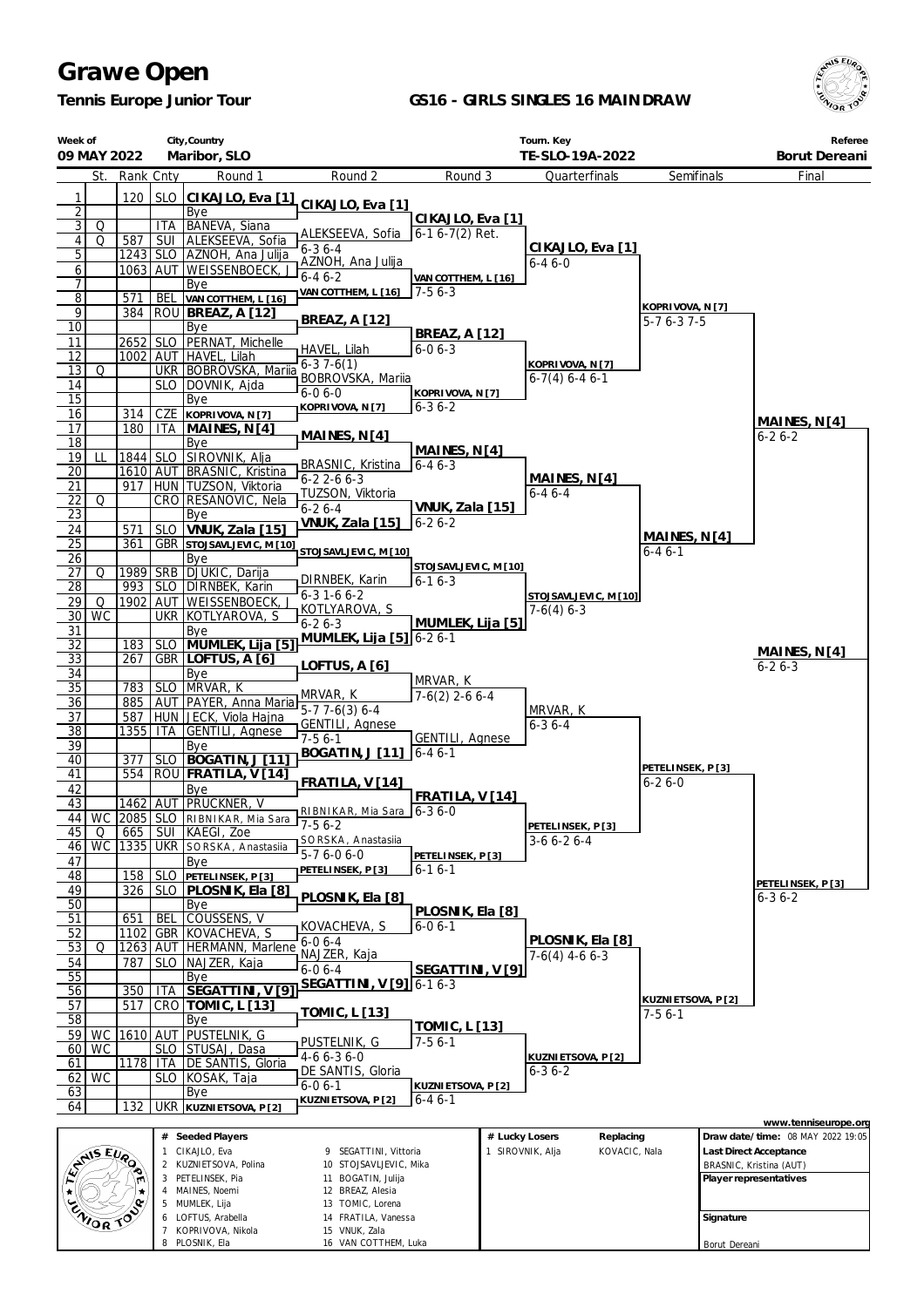*Tennis Europe Junior Tour*

8 PLOSNIK, Ela

16 VAN COTTHEM, Luka

### **GS16 - GIRLS SINGLES 16 MAINDRAW**



Borut Dereani

| Week of                          | 09 MAY 2022     |            |                | City, Country<br>Maribor, SLO                                                                                 |                                                 | Tourn. Key<br>TE-SLO-19A-2022    |                  |                                          |                                 |           | Referee<br>Borut Dereani          |
|----------------------------------|-----------------|------------|----------------|---------------------------------------------------------------------------------------------------------------|-------------------------------------------------|----------------------------------|------------------|------------------------------------------|---------------------------------|-----------|-----------------------------------|
|                                  | St.             | Rank Cnty  |                | Round 1                                                                                                       | Round 2                                         | Round 3                          |                  | Quarterfinals                            | Semifinals                      |           | Final                             |
|                                  |                 |            |                |                                                                                                               |                                                 |                                  |                  |                                          |                                 |           |                                   |
| 1<br>$\overline{2}$              |                 | 120        | <b>SLO</b>     | CIKAJLO, Eva [1]<br>Bye                                                                                       | CIKAJLO, Eva [1]                                |                                  |                  |                                          |                                 |           |                                   |
| $\overline{3}$                   | Q               |            | <b>ITA</b>     | BANEVA, Siana                                                                                                 |                                                 | CIKAJLO, Eva [1]                 |                  |                                          |                                 |           |                                   |
| $\vert 4 \vert$                  | Q               | 587        | SUI            | ALEKSEEVA, Sofia                                                                                              | ALEKSEEVA, Sofia                                | $6-16-7(2)$ Ret.                 |                  |                                          |                                 |           |                                   |
| $\overline{5}$                   |                 |            |                | 1243 SLO AZNOH, Ana Julija                                                                                    | $6 - 36 - 4$<br>AZNOH, Ana Julija               |                                  |                  | CIKAJLO, Eva [1]<br>$6 - 46 - 0$         |                                 |           |                                   |
| 6                                |                 |            |                | 1063 AUT WEISSENBOECK,                                                                                        | $6 - 46 - 2$                                    | VAN COTTHEM, L [16]              |                  |                                          |                                 |           |                                   |
| $\overline{1}$                   |                 |            |                | Bye                                                                                                           | VAN COTTHEM, L [16]                             | $7-56-3$                         |                  |                                          |                                 |           |                                   |
| $\overline{8}$<br>$\overline{9}$ |                 | 571<br>384 | BEL            | VAN COTTHEM, L [16]                                                                                           |                                                 |                                  |                  |                                          | KOPRIVOVA, N [7]                |           |                                   |
| $\overline{10}$                  |                 |            |                | ROU BREAZ, A [12]<br>Bye                                                                                      | <b>BREAZ, A [12]</b>                            |                                  |                  |                                          | $5-76-37-5$                     |           |                                   |
| 11                               |                 |            |                | 2652 SLO PERNAT, Michelle                                                                                     |                                                 | <b>BREAZ, A [12]</b>             |                  |                                          |                                 |           |                                   |
| 12                               |                 |            |                | 1002 AUT HAVEL, Lilah                                                                                         | HAVEL, Lilah                                    | $6 - 06 - 3$                     |                  |                                          |                                 |           |                                   |
| 13                               | Q               |            |                | UKR   BOBROVSKA, Mariia                                                                                       | $6-37-6(1)$<br>BOBROVSKA, Mariia                |                                  |                  | KOPRIVOVA, N [7]<br>$6-7(4)$ 6-4 6-1     |                                 |           |                                   |
| 14                               |                 |            |                | SLO   DOVNIK, Ajda                                                                                            | $6 - 06 - 0$                                    | KOPRIVOVA, N [7]                 |                  |                                          |                                 |           |                                   |
| 15                               |                 |            |                | Bye                                                                                                           | KOPRIVOVA, N [7]                                | 6-3 6-2                          |                  |                                          |                                 |           |                                   |
| 16<br>17                         |                 | 314<br>180 | CZE            | KOPRIVOVA, N [7]                                                                                              |                                                 |                                  |                  |                                          |                                 |           | MAINES, $N[4]$                    |
| 18                               |                 |            |                | ITA   MAINES, N [4]<br>Bye                                                                                    | MAINES, N[4]                                    |                                  |                  |                                          |                                 |           | $6 - 26 - 2$                      |
| 19                               | ш               | 1844       |                | SLO   SIROVNIK, Alja                                                                                          |                                                 | MAINES, N[4]                     |                  |                                          |                                 |           |                                   |
| 20                               |                 |            |                | 1610 AUT BRASNIC, Kristina                                                                                    | BRASNIC, Kristina                               | $6 - 46 - 3$                     |                  |                                          |                                 |           |                                   |
| 21                               |                 | 917        |                | HUN   TUZSON, Viktoria                                                                                        | $6 - 22 - 66 - 3$                               |                                  |                  | MAINES, N <sub>[4]</sub><br>$6 - 46 - 4$ |                                 |           |                                   |
| $\overline{22}$                  | Q               |            |                | CRO RESANOVIC, Nela                                                                                           | TUZSON, Viktoria<br>$6 - 26 - 4$                | VNUK, Zala [15]                  |                  |                                          |                                 |           |                                   |
| $\overline{23}$                  |                 |            |                | Bye                                                                                                           | <b>VNUK, Zala [15]</b>                          | $6 - 26 - 2$                     |                  |                                          |                                 |           |                                   |
| 24                               |                 | 571        | SLO            | VNUK, Zala [15]                                                                                               |                                                 |                                  |                  |                                          | MAINES, N <sub>[4]</sub>        |           |                                   |
| 25<br>26                         |                 | 361        |                | <b>GBR</b> STOJSAVLJEVIC, M [10]<br>Bye                                                                       | STOJSAVLJEVIC, M [10]                           |                                  |                  |                                          | $6 - 46 - 1$                    |           |                                   |
| 27                               | Q               |            |                | 1989   SRB   DJUKIC, Darija                                                                                   |                                                 | STOJSAVLJEVIC, M [10]            |                  |                                          |                                 |           |                                   |
| 28                               |                 | 993        |                | SLO   DIRNBEK, Karin                                                                                          | DIRNBEK, Karin                                  | $6 - 16 - 3$                     |                  |                                          |                                 |           |                                   |
| 29                               | Q               | 1902       |                | AUT WEISSENBOECK,                                                                                             | $6 - 3 1 - 6 6 - 2$                             |                                  |                  | STOJSAVLJEVIC, M [10]                    |                                 |           |                                   |
| 30                               | $\overline{WC}$ |            |                | UKR KOTLYAROVA, S                                                                                             | KOTLYAROVA, S<br>$6 - 26 - 3$                   | MUMLEK, Lija [5]                 |                  | $7-6(4)$ 6-3                             |                                 |           |                                   |
| 31                               |                 |            |                | Bye                                                                                                           | MUMLEK, Lija [5] 6-2 6-1                        |                                  |                  |                                          |                                 |           |                                   |
| $\overline{32}$                  |                 | 183        |                | SLO MUMLEK, Lija [5]                                                                                          |                                                 |                                  |                  |                                          |                                 |           | MAINES, N[4]                      |
| $\overline{33}$                  |                 | 267        |                | GBR LOFTUS, A [6]                                                                                             | LOFTUS, A [6]                                   |                                  |                  |                                          |                                 |           | $6 - 26 - 3$                      |
| 34<br>35                         |                 | 783        |                | Bye<br>SLO MRVAR, K                                                                                           |                                                 | MRVAR, K                         |                  |                                          |                                 |           |                                   |
| 36                               |                 |            |                | 885 AUT PAYER, Anna Maria   1911 \ 1911 \ 1920 \ 1920 \ 1921 \ 1921 \ 1921 \ 1921 \ 1921 \ 1921 \ 1921 \ 1921 | MRVAR, K                                        | $7-6(2)$ 2-6 6-4                 |                  |                                          |                                 |           |                                   |
| 37                               |                 | 587        |                | HUN JECK, Viola Hajna                                                                                         |                                                 |                                  |                  | MRVAR, K                                 |                                 |           |                                   |
| $\overline{38}$                  |                 | 1355   ITA |                | GENTILI, Agnese                                                                                               | <b>GENTILI, Agnese</b><br>$7-56-1$              | <b>GENTILI, Agnese</b>           |                  | $6 - 36 - 4$                             |                                 |           |                                   |
| 39                               |                 |            |                | Bye                                                                                                           | BOGATIN, J [11]                                 | $6 - 46 - 1$                     |                  |                                          |                                 |           |                                   |
| 40                               |                 | 377        |                | SLO   BOGATIN, J [11]                                                                                         |                                                 |                                  |                  |                                          | PETELINSEK, P[3]                |           |                                   |
| 41                               |                 | 554        |                | ROU FRATILA, V[14]                                                                                            | FRATILA, V[14]                                  |                                  |                  |                                          | $6 - 26 - 0$                    |           |                                   |
| 42<br>43                         |                 |            |                | Bye<br>1462 AUT PRUCKNER, V                                                                                   |                                                 | FRATILA, V [14]                  |                  |                                          |                                 |           |                                   |
|                                  |                 |            |                | 44 WC 2085 SLO RIBNIKAR, Mia Sara                                                                             | RIBNIKAR, Mia Sara   6-3 6-0                    |                                  |                  |                                          |                                 |           |                                   |
| 45                               | Q               | 665        |                | SUI KAEGI, Zoe                                                                                                | $\sqrt{7-56-2}$                                 |                                  |                  | PETELINSEK, P[3]                         |                                 |           |                                   |
| 46                               | <b>WC</b>       | 1335       |                | UKR SORSKA, Anastasila                                                                                        | SORSKA, Anastasiia<br>$\overline{5}$ -7 6-0 6-0 |                                  |                  | $3-66-26-4$                              |                                 |           |                                   |
| 47                               |                 |            |                | Bye                                                                                                           | PETELINSEK, P[3]                                | PETELINSEK, P[3]<br>$6 - 16 - 1$ |                  |                                          |                                 |           |                                   |
| 48                               |                 | 158        |                | SLO PETELINSEK, P[3]                                                                                          |                                                 |                                  |                  |                                          |                                 |           | PETELINSEK, P[3]                  |
| 49                               |                 | 326        |                | SLO PLOSNIK, Ela [8]                                                                                          | PLOSNIK, Ela [8]                                |                                  |                  |                                          |                                 |           | $6 - 36 - 2$                      |
| 50<br>51                         |                 | 651        | BEL            | Bye<br>COUSSENS, V                                                                                            |                                                 | PLOSNIK, Ela [8]                 |                  |                                          |                                 |           |                                   |
| 52                               |                 | 1102       |                | GBR KOVACHEVA, S                                                                                              | KOVACHEVA, S                                    | 6-0 6-1                          |                  |                                          |                                 |           |                                   |
| 53                               | Q               | 1263       |                | AUT   HERMANN, Marlene                                                                                        | $6 - 06 - 4$                                    |                                  |                  | PLOSNIK, Ela [8]                         |                                 |           |                                   |
| 54                               |                 | 787        | <b>SLO</b>     | NAJZER, Kaja                                                                                                  | NAJZER, Kaja                                    |                                  |                  | $7-6(4)$ 4-6 6-3                         |                                 |           |                                   |
| 55                               |                 |            |                | Bye                                                                                                           | $6 - 06 - 4$                                    | SEGATTINI, V [9]                 |                  |                                          |                                 |           |                                   |
| 56                               |                 | 350        | <b>ITA</b>     | SEGATTINI, V [9]                                                                                              | SEGATTINI, V [9] 6-1 6-3                        |                                  |                  |                                          |                                 |           |                                   |
| 57                               |                 | 517        |                | CRO   TOMIC, L [13]                                                                                           | <b>TOMIC, L [13]</b>                            |                                  |                  |                                          | KUZNI ETSOVA, P [2]<br>$7-56-1$ |           |                                   |
| 58                               |                 |            |                | Bye                                                                                                           |                                                 | <u>TOMIC, L [13]</u>             |                  |                                          |                                 |           |                                   |
| 59                               | WC<br><b>WC</b> | 1610       | AUT            | PUSTELNIK, G                                                                                                  | PUSTELNIK, G                                    | $7-56-1$                         |                  |                                          |                                 |           |                                   |
| 60<br>61                         |                 | 1178       | ITA            | SLO STUSAJ, Dasa<br>DE SANTIS, Gloria                                                                         | $4-66-36-0$                                     |                                  |                  | KUZNI ETSOVA, P [2]                      |                                 |           |                                   |
| 62                               | <b>WC</b>       |            | <b>SLO</b>     | KOSAK, Taja                                                                                                   | DE SANTIS, Gloria                               |                                  |                  | $6 - 36 - 2$                             |                                 |           |                                   |
| 63                               |                 |            |                | Bye                                                                                                           | $6 - 06 - 1$                                    | KUZNIETSOVA, P [2]               |                  |                                          |                                 |           |                                   |
| 64                               |                 | 132        |                | UKR KUZNIETSOVA, P[2]                                                                                         | KUZNI ETSOVA, P [2]                             | $6 - 46 - 1$                     |                  |                                          |                                 |           |                                   |
|                                  |                 |            |                |                                                                                                               |                                                 |                                  |                  |                                          |                                 |           | www.tenniseurope.org              |
|                                  |                 |            |                | # Seeded Players                                                                                              |                                                 |                                  | # Lucky Losers   | Replacing                                |                                 |           | Draw date/time: 08 MAY 2022 19:05 |
|                                  | AMIS EURO       |            |                | 1 CIKAJLO, Eva                                                                                                | 9 SEGATTINI, Vittoria                           |                                  | 1 SIROVNIK, Alja | KOVACIC, Nala                            |                                 |           | Last Direct Acceptance            |
|                                  |                 |            |                | 2 KUZNIETSOVA, Polina                                                                                         | 10 STOJSAVLJEVIC, Mika                          |                                  |                  |                                          |                                 |           | BRASNIC, Kristina (AUT)           |
|                                  |                 |            |                | 3 PETELINSEK, Pia<br>4 MAINES, Noemi                                                                          | 11 BOGATIN, Julija<br>12 BREAZ, Alesia          |                                  |                  |                                          |                                 |           | Player representatives            |
|                                  |                 |            |                | 5 MUMLEK, Lija                                                                                                | 13 TOMIC, Lorena                                |                                  |                  |                                          |                                 |           |                                   |
|                                  | ENIOR TOP       |            |                | 6 LOFTUS, Arabella                                                                                            | 14 FRATILA, Vanessa                             |                                  |                  |                                          |                                 | Signature |                                   |
|                                  |                 |            | $7\phantom{.}$ | KOPRIVOVA, Nikola                                                                                             | 15 VNUK, Zala                                   |                                  |                  |                                          |                                 |           |                                   |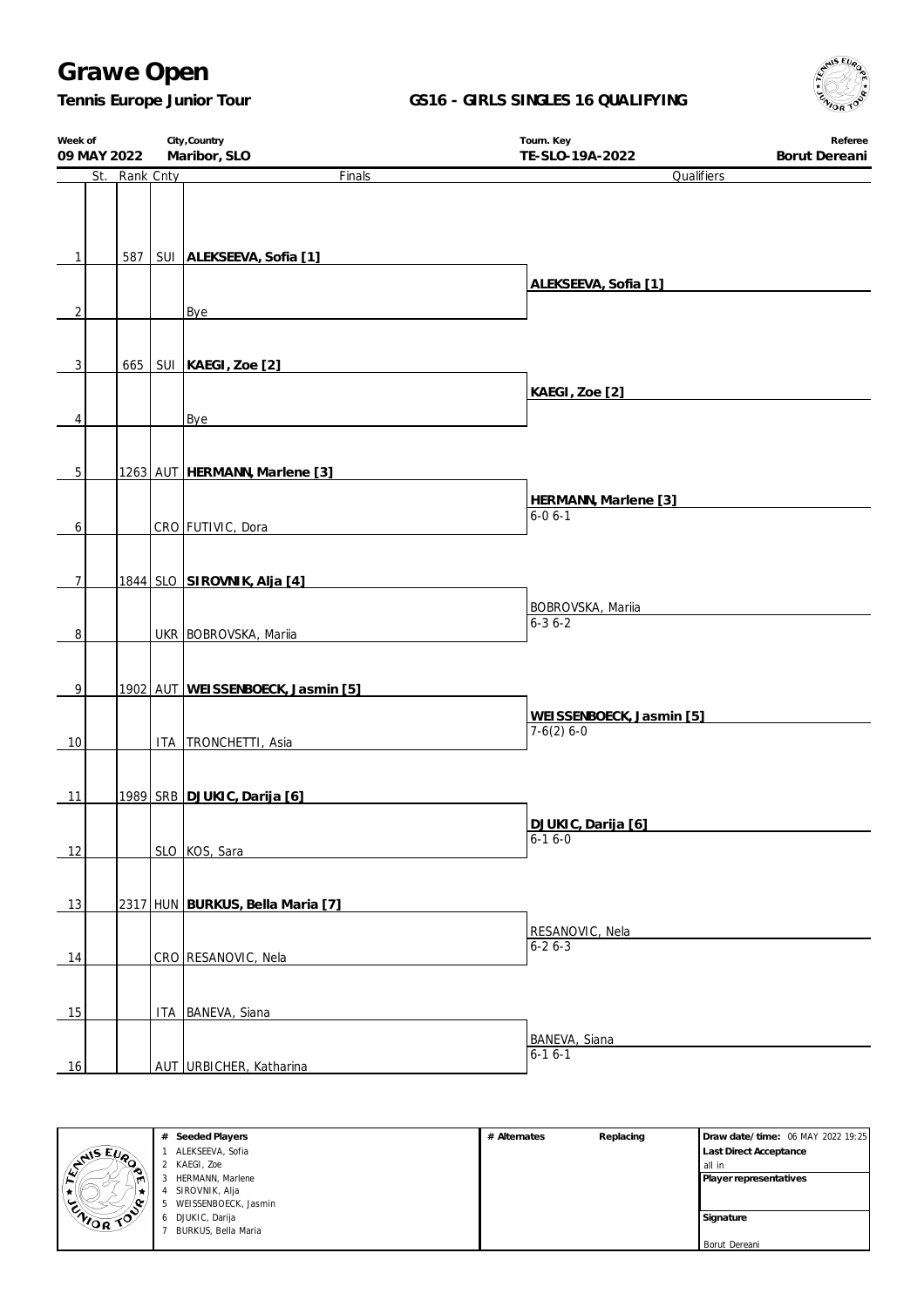*Tennis Europe Junior Tour*

### **GS16 - GIRLS SINGLES 16 QUALIFYING**



| Week of<br>09 MAY 2022 |               | City, Country<br>Maribor, SLO     | Tourn. Key<br>TE-SLO-19A-2022            | Referee<br>Borut Dereani |
|------------------------|---------------|-----------------------------------|------------------------------------------|--------------------------|
|                        | St. Rank Cnty | Finals                            | Qualifiers                               |                          |
| 1                      | 587           | SUI ALEKSEEVA, Sofia [1]          | ALEKSEEVA, Sofia [1]                     |                          |
| $\overline{2}$         |               | Bye                               |                                          |                          |
| 3                      | 665           | SUI   KAEGI, Zoe [2]              |                                          |                          |
|                        |               |                                   | KAEGI, Zoe [2]                           |                          |
| 4                      |               | Bye                               |                                          |                          |
| 5                      |               | 1263 AUT HERMANN, Marlene [3]     |                                          |                          |
|                        |               |                                   | HERMANN, Marlene [3]                     |                          |
| 6                      |               | CRO FUTIVIC, Dora                 | $6 - 06 - 1$                             |                          |
| $\overline{7}$         |               | 1844 SLO SIROVNIK, Alja [4]       |                                          |                          |
|                        |               |                                   | BOBROVSKA, Mariia                        |                          |
| 8                      |               | UKR BOBROVSKA, Mariia             | $6 - 36 - 2$                             |                          |
| 9                      |               | 1902 AUT WEISSENBOECK, Jasmin [5] |                                          |                          |
|                        |               |                                   |                                          |                          |
| 10                     |               | ITA   TRONCHETTI, Asia            | WEISSENBOECK, Jasmin [5]<br>$7-6(2)$ 6-0 |                          |
| 11                     |               | 1989 SRB DJUKIC, Darija [6]       |                                          |                          |
|                        |               |                                   | DJUKIC, Darija [6]                       |                          |
|                        |               |                                   | $6-16-0$                                 |                          |
| 12                     |               | SLO KOS, Sara                     |                                          |                          |
| 13                     |               | 2317 HUN BURKUS, Bella Maria [7]  |                                          |                          |
|                        |               |                                   |                                          |                          |
| 14                     |               | CRO RESANOVIC, Nela               | RESANOVIC, Nela<br>$6 - 26 - 3$          |                          |
|                        |               |                                   |                                          |                          |
| 15                     |               | ITA BANEVA, Siana                 |                                          |                          |
|                        |               |                                   | BANEVA, Siana                            |                          |
| 16                     |               | AUT URBICHER, Katharina           | $6 - 16 - 1$                             |                          |



| Seeded Players<br>#  | # Alternates | Replacing | Draw date/time: 06 MAY 2022 19:25 |
|----------------------|--------------|-----------|-----------------------------------|
| ALEKSEEVA, Sofia     |              |           | <b>Last Direct Acceptance</b>     |
| KAEGI. Zoe           |              |           | all in                            |
| HERMANN, Marlene     |              |           | Player representatives            |
| SIROVNIK, Alja       |              |           |                                   |
| WEISSENBOECK, Jasmin |              |           |                                   |
| DJUKIC, Darija       |              |           | Signature                         |
| BURKUS, Bella Maria  |              |           |                                   |
|                      |              |           | Borut Dereani                     |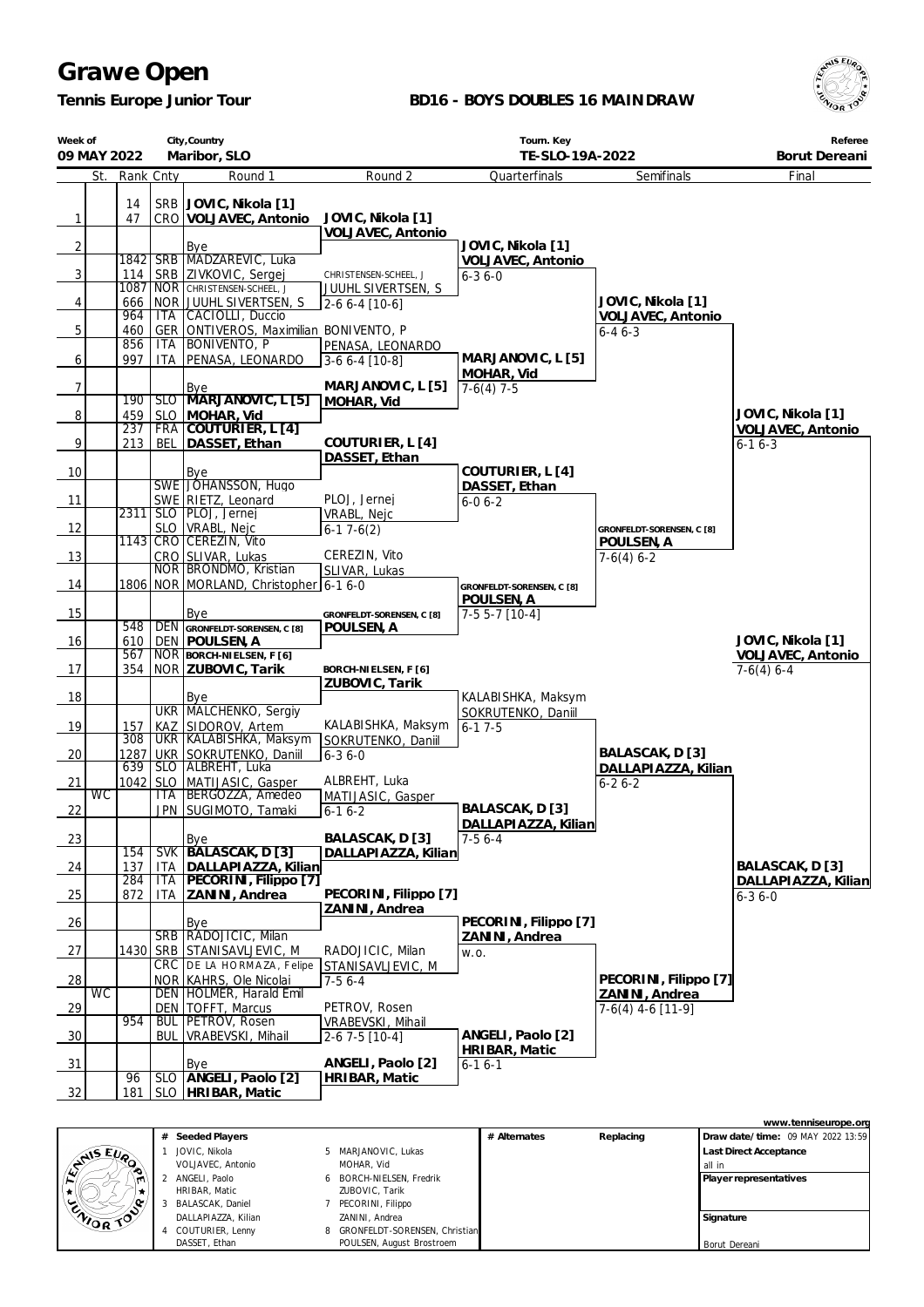*Tennis Europe Junior Tour*

### **BD16 - BOYS DOUBLES 16 MAINDRAW**



| Week of        | City, Country<br>Maribor, SLO<br>09 MAY 2022 |                   |             |                                                           | Tourn. Key<br>TE-SLO-19A-2022          |                                          |                                       | Referee<br>Borut Dereani |
|----------------|----------------------------------------------|-------------------|-------------|-----------------------------------------------------------|----------------------------------------|------------------------------------------|---------------------------------------|--------------------------|
|                | St.                                          | Rank Cnty         |             | Round 1                                                   | Round 2                                | Quarterfinals                            | Semifinals                            | Final                    |
|                |                                              | 14                |             | SRB JOVIC, Nikola [1]                                     |                                        |                                          |                                       |                          |
| $\mathbf{1}$   |                                              | 47                |             | CRO VOLJAVEC, Antonio                                     | JOVIC, Nikola [1]                      |                                          |                                       |                          |
|                |                                              |                   |             |                                                           | VOLJAVEC, Antonio                      |                                          |                                       |                          |
| $\overline{2}$ |                                              | 1842 SRB          |             | Bye<br>MADZAREVIC, Luka                                   |                                        | JOVIC, Nikola [1]                        |                                       |                          |
| 3              |                                              | 114               |             | SRB ZIVKOVIC, Sergej                                      | CHRISTENSEN-SCHEEL, J                  | VOLJAVEC, Antonio<br>$6 - 36 - 0$        |                                       |                          |
|                |                                              | 1087              |             | NOR CHRISTENSEN-SCHEEL                                    | JUUHL SIVERTSEN, S                     |                                          |                                       |                          |
| 4              |                                              | 666               |             | NOR JUUHL SIVERTSEN, S                                    | $2-66-4$ [10-6]                        |                                          | JOVIC, Nikola [1]                     |                          |
|                |                                              | 964               | <b>ITA</b>  | CACIOLLI, Duccio                                          |                                        |                                          | VOLJAVEC, Antonio                     |                          |
| 5              |                                              | 460<br>856        | GER<br>ITA. | ONTIVEROS, Maximilian BONIVENTO, P<br><b>BONIVENTO, P</b> | PENASA, LEONARDO                       |                                          | $6 - 46 - 3$                          |                          |
| 6              |                                              | 997               | <b>ITA</b>  | PENASA, LEONARDO                                          | 3-6 6-4 [10-8]                         | MARJANOVIC, L [5]                        |                                       |                          |
|                |                                              |                   |             |                                                           |                                        | MOHAR, Vid                               |                                       |                          |
| $\overline{7}$ |                                              |                   | SLO         | Bye<br>MARJANOVIC, L [5]                                  | MARJANOVIC, L [5]                      | $7-6(4)$ 7-5                             |                                       |                          |
| $\overline{8}$ |                                              | 190<br>459        | <b>SLO</b>  | MOHAR, Vid                                                | MOHAR, Vid                             |                                          |                                       | JOVIC, Nikola [1]        |
|                |                                              | 237               | <b>FRA</b>  | COUTURIER, L [4]                                          |                                        |                                          |                                       | VOLJAVEC, Antonio        |
| 9              |                                              | 213               | <b>BEL</b>  | DASSET, Ethan                                             | COUTURIER, L [4]                       |                                          |                                       | $6 - 16 - 3$             |
|                |                                              |                   |             |                                                           | DASSET, Ethan                          |                                          |                                       |                          |
| 10             |                                              |                   |             | Bye<br>SWE JÓHANSSON, Hugo                                |                                        | COUTURIER, L [4]<br>DASSET, Ethan        |                                       |                          |
| 11             |                                              |                   |             | SWE RIETZ, Leonard                                        | PLOJ, Jernej                           | $6 - 06 - 2$                             |                                       |                          |
|                |                                              | 2311              |             | SLO   PLOJ, Jernej                                        | VRABL, Nejc                            |                                          |                                       |                          |
| 12             |                                              |                   | <b>SLO</b>  | VRABL, Nejc                                               | $6-17-6(2)$                            |                                          | GRONFELDT-SORENSEN, C [8]             |                          |
|                |                                              |                   |             | 1143 CRO CEREZIN, Vito                                    | CEREZIN, Vito                          |                                          | POULSEN, A                            |                          |
| 13             |                                              |                   |             | CRO SLIVAR, Lukas<br>NOR BRONDMO, Kristian                | SLIVAR, Lukas                          |                                          | $7-6(4)$ 6-2                          |                          |
| 14             |                                              |                   |             | 1806 NOR MORLAND, Christopher 6-1 6-0                     |                                        | GRONFELDT-SORENSEN, C [8]                |                                       |                          |
|                |                                              |                   |             |                                                           |                                        | POULSEN, A                               |                                       |                          |
| 15             |                                              |                   |             | Bye                                                       | GRONFELDT-SORENSEN, C [8]              | $7-55-7$ [10-4]                          |                                       |                          |
| 16             |                                              | 548<br>610        |             | DEN GRONFELDT-SORENSEN, C [8]<br>DEN   POULSEN, A         | POULSEN, A                             |                                          |                                       | JOVIC, Nikola [1]        |
|                |                                              | 567               |             | NOR BORCH-NIELSEN, F [6]                                  |                                        |                                          |                                       | VOLJAVEC, Antonio        |
| 17             |                                              | 354               |             | NOR ZUBOVIC, Tarik                                        | BORCH-NIELSEN, F [6]                   |                                          |                                       | $7-6(4)$ 6-4             |
|                |                                              |                   |             |                                                           | ZUBOVIC, Tarik                         |                                          |                                       |                          |
| 18             |                                              |                   |             | Bye<br><b>UKR MALCHENKO, Sergiy</b>                       |                                        | KALABISHKA, Maksym<br>SOKRUTENKO, Daniil |                                       |                          |
| 19             |                                              | 157               |             | KAZ SIDOROV, Artem                                        | KALABISHKA, Maksym                     | $6 - 17 - 5$                             |                                       |                          |
|                |                                              | $\overline{308}$  |             | UKR KALABISHKA, Maksym                                    | SOKRUTENKO, Daniil                     |                                          |                                       |                          |
| 20             |                                              | 1287              |             | UKR SOKRUTENKO, Daniil                                    | $6 - 36 - 0$                           |                                          | BALASCAK, D [3]                       |                          |
| 21             |                                              | 639<br>$1042$ SLO |             | SLO ALBREHT, Luka<br>MATIJASIC, Gasper                    | ALBREHT, Luka                          |                                          | DALLAPIAZZA, Kilian<br>$6 - 26 - 2$   |                          |
|                | <b>WC</b>                                    |                   | <b>ITA</b>  | BERGOZZA, Amedeo                                          | MATIJASIC, Gasper                      |                                          |                                       |                          |
| 22             |                                              |                   |             | JPN SUGIMOTO, Tamaki                                      | $6-16-2$                               | BALASCAK, D [3]                          |                                       |                          |
|                |                                              |                   |             |                                                           |                                        | DALLAPIAZZA, Kilian                      |                                       |                          |
| 23             |                                              | 154               | <b>SVK</b>  | <b>Bye</b><br>BALASCAK, D [3]                             | BALASCAK, D [3]<br>DALLAPIAZZA, Kilian | $7-56-4$                                 |                                       |                          |
| 24             |                                              | 137               | <b>ITA</b>  | DALLAPIAZZA, Kilian                                       |                                        |                                          |                                       | BALASCAK, D [3]          |
|                |                                              | 284               | ITA         | PECORINI, Filippo [7]                                     |                                        |                                          |                                       | DALLAPIAZZA, Kilian      |
| 25             |                                              | 872               | ITA         | ZANINI, Andrea                                            | PECORINI, Filippo [7]                  |                                          |                                       | $6 - 36 - 0$             |
| 26             |                                              |                   |             | Bye                                                       | ZANINI, Andrea                         | PECORINI, Filippo [7]                    |                                       |                          |
|                |                                              |                   |             | SRB RADOJICIC, Milan                                      |                                        | ZANINI, Andrea                           |                                       |                          |
| 27             |                                              | 1430              | <b>SRB</b>  | STANISAVLJEVIC, M                                         | RADOJICIC, Milan                       | W.O.                                     |                                       |                          |
|                |                                              |                   |             | CRC DE LA HORMAZA, Felipe                                 | STANISAVLJEVIC, M                      |                                          |                                       |                          |
| 28             | <b>WC</b>                                    |                   |             | NOR KAHRS, Ole Nicolai<br>DEN   HOLMER, Harald Emil       | $7-56-4$                               |                                          | PECORINI, Filippo [7]                 |                          |
| 29             |                                              |                   |             | DEN   TOFFT, Marcus                                       | PETROV, Rosen                          |                                          | ZANINI, Andrea<br>$7-6(4)$ 4-6 [11-9] |                          |
|                |                                              | 954               |             | <b>BUL PETROV, Rosen</b>                                  | VRABEVSKI, Mihail                      |                                          |                                       |                          |
| 30             |                                              |                   | <b>BUL</b>  | VRABEVSKI, Mihail                                         | $2 - 67 - 5$ [10-4]                    | ANGELI, Paolo [2]                        |                                       |                          |
|                |                                              |                   |             |                                                           |                                        | HRIBAR, Matic                            |                                       |                          |
| 31             |                                              | 96                | <b>SLO</b>  | Bye<br>ANGELI, Paolo [2]                                  | ANGELI, Paolo [2]<br>HRIBAR, Matic     | $6 - 16 - 1$                             |                                       |                          |
| 32             |                                              | 181               |             | SLO HRIBAR, Matic                                         |                                        |                                          |                                       |                          |

|                    |                     |                                 |              |           | www.tenniseurope.org              |
|--------------------|---------------------|---------------------------------|--------------|-----------|-----------------------------------|
|                    | # Seeded Players    |                                 | # Alternates | Replacing | Draw date/time: 09 MAY 2022 13:59 |
|                    | JOVIC, Nikola       | 5 MARJANOVIC, Lukas             |              |           | <b>Last Direct Acceptance</b>     |
| <b>ANSEUS</b><br>∾ | VOLJAVEC, Antonio   | MOHAR, Vid                      |              |           | all in                            |
| m                  | ANGELI, Paolo       | 6 BORCH-NIELSEN, Fredrik        |              |           | Player representatives            |
|                    | HRIBAR, Matic       | ZUBOVIC, Tarik                  |              |           |                                   |
| ۹.                 | BALASCAK, Daniel    | PECORINI, Filippo               |              |           |                                   |
| <b>CAIOR TOO</b>   | DALLAPIAZZA, Kilian | ZANINI, Andrea                  |              |           | Signature                         |
|                    | COUTURIER, Lenny    | 8 GRONFELDT-SORENSEN, Christian |              |           |                                   |
|                    | DASSET, Ethan       | POULSEN, August Brostroem       |              |           | Borut Dereani                     |